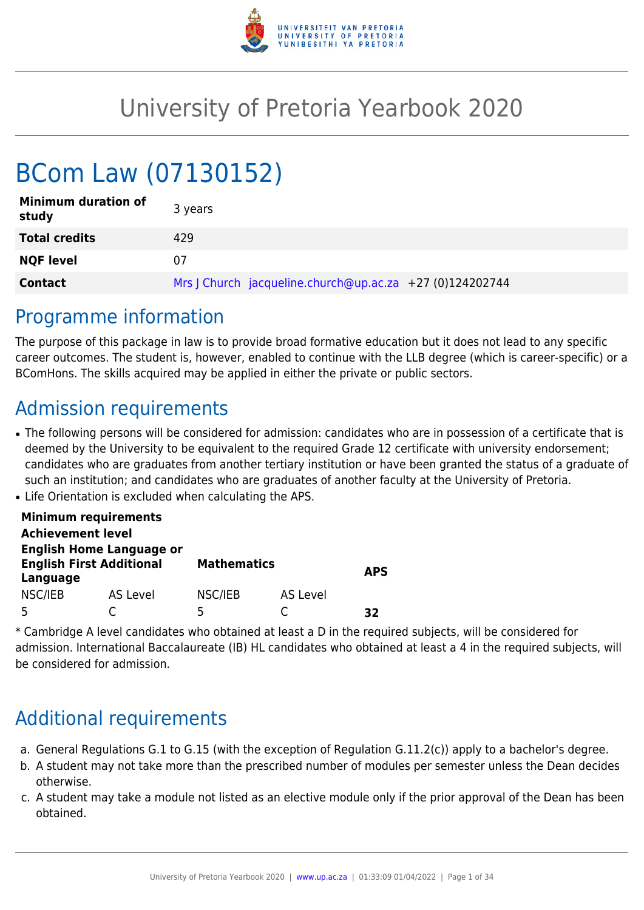

# University of Pretoria Yearbook 2020

# BCom Law (07130152)

| <b>Minimum duration of</b><br>study | 3 years                                                  |
|-------------------------------------|----------------------------------------------------------|
| <b>Total credits</b>                | 429                                                      |
| <b>NQF level</b>                    | 07                                                       |
| <b>Contact</b>                      | Mrs   Church jacqueline.church@up.ac.za +27 (0)124202744 |

## Programme information

The purpose of this package in law is to provide broad formative education but it does not lead to any specific career outcomes. The student is, however, enabled to continue with the LLB degree (which is career-specific) or a BComHons. The skills acquired may be applied in either the private or public sectors.

## Admission requirements

- The following persons will be considered for admission: candidates who are in possession of a certificate that is deemed by the University to be equivalent to the required Grade 12 certificate with university endorsement; candidates who are graduates from another tertiary institution or have been granted the status of a graduate of such an institution; and candidates who are graduates of another faculty at the University of Pretoria.
- Life Orientation is excluded when calculating the APS.

|                          | <b>Minimum requirements</b>                                        |                    |          |            |
|--------------------------|--------------------------------------------------------------------|--------------------|----------|------------|
| <b>Achievement level</b> |                                                                    |                    |          |            |
| Language                 | <b>English Home Language or</b><br><b>English First Additional</b> | <b>Mathematics</b> |          | <b>APS</b> |
| NSC/IEB                  | AS Level                                                           | NSC/IEB            | AS Level |            |
|                          |                                                                    | 5                  |          | マフ         |

\* Cambridge A level candidates who obtained at least a D in the required subjects, will be considered for admission. International Baccalaureate (IB) HL candidates who obtained at least a 4 in the required subjects, will be considered for admission.

## Additional requirements

- a. General Regulations G.1 to G.15 (with the exception of Regulation G.11.2(c)) apply to a bachelor's degree.
- b. A student may not take more than the prescribed number of modules per semester unless the Dean decides otherwise.
- c. A student may take a module not listed as an elective module only if the prior approval of the Dean has been obtained.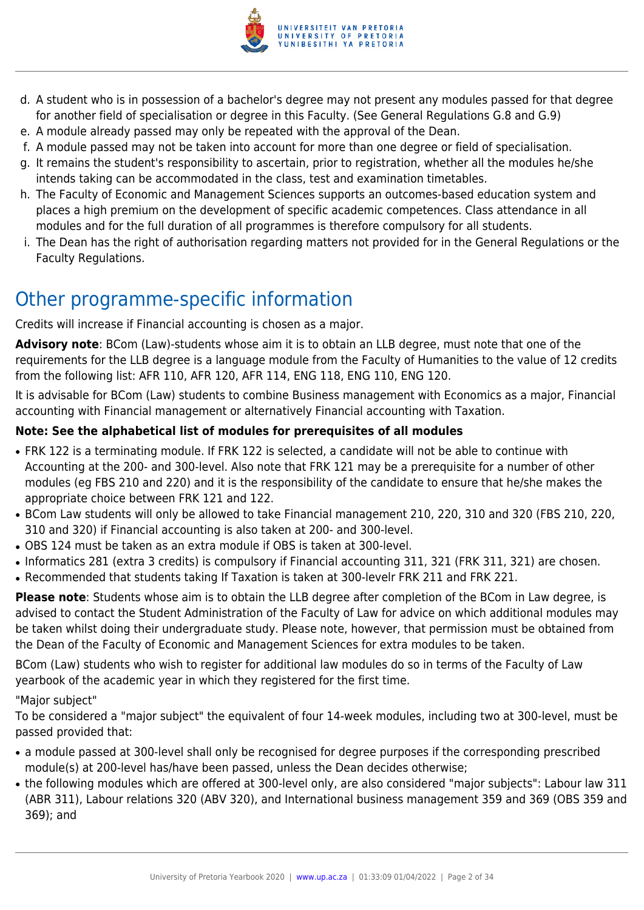

- d. A student who is in possession of a bachelor's degree may not present any modules passed for that degree for another field of specialisation or degree in this Faculty. (See General Regulations G.8 and G.9)
- e. A module already passed may only be repeated with the approval of the Dean.
- f. A module passed may not be taken into account for more than one degree or field of specialisation.
- g. It remains the student's responsibility to ascertain, prior to registration, whether all the modules he/she intends taking can be accommodated in the class, test and examination timetables.
- h. The Faculty of Economic and Management Sciences supports an outcomes-based education system and places a high premium on the development of specific academic competences. Class attendance in all modules and for the full duration of all programmes is therefore compulsory for all students.
- i. The Dean has the right of authorisation regarding matters not provided for in the General Regulations or the Faculty Regulations.

## Other programme-specific information

Credits will increase if Financial accounting is chosen as a major.

**Advisory note**: BCom (Law)-students whose aim it is to obtain an LLB degree, must note that one of the requirements for the LLB degree is a language module from the Faculty of Humanities to the value of 12 credits from the following list: AFR 110, AFR 120, AFR 114, ENG 118, ENG 110, ENG 120.

It is advisable for BCom (Law) students to combine Business management with Economics as a major, Financial accounting with Financial management or alternatively Financial accounting with Taxation.

## **Note: See the alphabetical list of modules for prerequisites of all modules**

- FRK 122 is a terminating module. If FRK 122 is selected, a candidate will not be able to continue with Accounting at the 200- and 300-level. Also note that FRK 121 may be a prerequisite for a number of other modules (eg FBS 210 and 220) and it is the responsibility of the candidate to ensure that he/she makes the appropriate choice between FRK 121 and 122.
- BCom Law students will only be allowed to take Financial management 210, 220, 310 and 320 (FBS 210, 220, 310 and 320) if Financial accounting is also taken at 200- and 300-level.
- OBS 124 must be taken as an extra module if OBS is taken at 300-level.
- Informatics 281 (extra 3 credits) is compulsory if Financial accounting 311, 321 (FRK 311, 321) are chosen.
- Recommended that students taking If Taxation is taken at 300-levelr FRK 211 and FRK 221.

**Please note**: Students whose aim is to obtain the LLB degree after completion of the BCom in Law degree, is advised to contact the Student Administration of the Faculty of Law for advice on which additional modules may be taken whilst doing their undergraduate study. Please note, however, that permission must be obtained from the Dean of the Faculty of Economic and Management Sciences for extra modules to be taken.

BCom (Law) students who wish to register for additional law modules do so in terms of the Faculty of Law yearbook of the academic year in which they registered for the first time.

## "Major subject"

To be considered a "major subject" the equivalent of four 14-week modules, including two at 300-level, must be passed provided that:

- a module passed at 300-level shall only be recognised for degree purposes if the corresponding prescribed module(s) at 200-level has/have been passed, unless the Dean decides otherwise;
- the following modules which are offered at 300-level only, are also considered "major subjects": Labour law 311 (ABR 311), Labour relations 320 (ABV 320), and International business management 359 and 369 (OBS 359 and 369); and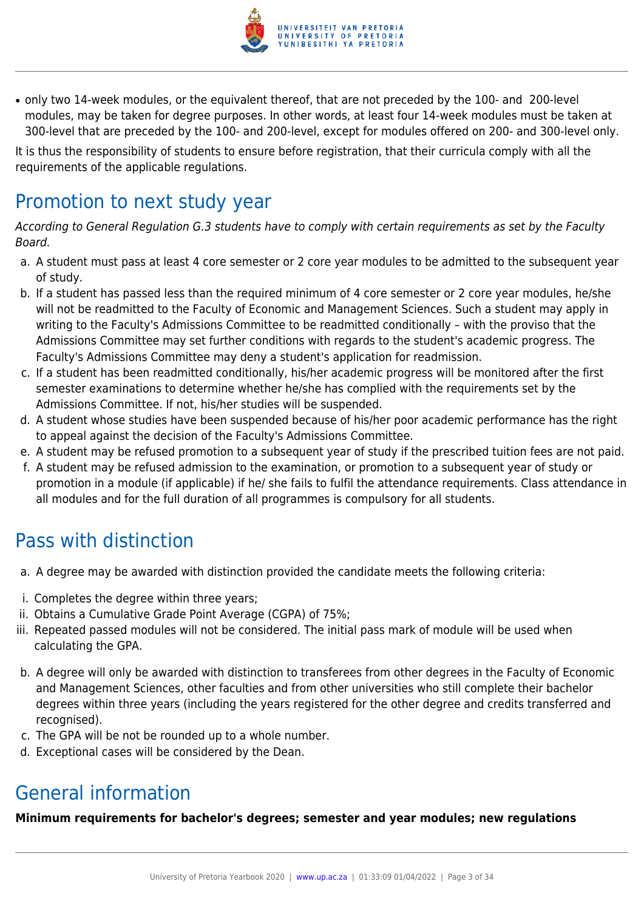

• only two 14-week modules, or the equivalent thereof, that are not preceded by the 100- and 200-level modules, may be taken for degree purposes. In other words, at least four 14-week modules must be taken at 300-level that are preceded by the 100- and 200-level, except for modules offered on 200- and 300-level only.

It is thus the responsibility of students to ensure before registration, that their curricula comply with all the requirements of the applicable regulations.

## Promotion to next study year

According to General Regulation G.3 students have to comply with certain requirements as set by the Faculty Board.

- a. A student must pass at least 4 core semester or 2 core year modules to be admitted to the subsequent year of study.
- b. If a student has passed less than the required minimum of 4 core semester or 2 core year modules, he/she will not be readmitted to the Faculty of Economic and Management Sciences. Such a student may apply in writing to the Faculty's Admissions Committee to be readmitted conditionally – with the proviso that the Admissions Committee may set further conditions with regards to the student's academic progress. The Faculty's Admissions Committee may deny a student's application for readmission.
- c. If a student has been readmitted conditionally, his/her academic progress will be monitored after the first semester examinations to determine whether he/she has complied with the requirements set by the Admissions Committee. If not, his/her studies will be suspended.
- d. A student whose studies have been suspended because of his/her poor academic performance has the right to appeal against the decision of the Faculty's Admissions Committee.
- e. A student may be refused promotion to a subsequent year of study if the prescribed tuition fees are not paid.
- f. A student may be refused admission to the examination, or promotion to a subsequent year of study or promotion in a module (if applicable) if he/ she fails to fulfil the attendance requirements. Class attendance in all modules and for the full duration of all programmes is compulsory for all students.

## Pass with distinction

- a. A degree may be awarded with distinction provided the candidate meets the following criteria:
- i. Completes the degree within three years;
- ii. Obtains a Cumulative Grade Point Average (CGPA) of 75%;
- iii. Repeated passed modules will not be considered. The initial pass mark of module will be used when calculating the GPA.
- b. A degree will only be awarded with distinction to transferees from other degrees in the Faculty of Economic and Management Sciences, other faculties and from other universities who still complete their bachelor degrees within three years (including the years registered for the other degree and credits transferred and recognised).
- c. The GPA will be not be rounded up to a whole number.
- d. Exceptional cases will be considered by the Dean.

## General information

**Minimum requirements for bachelor's degrees; semester and year modules; new regulations**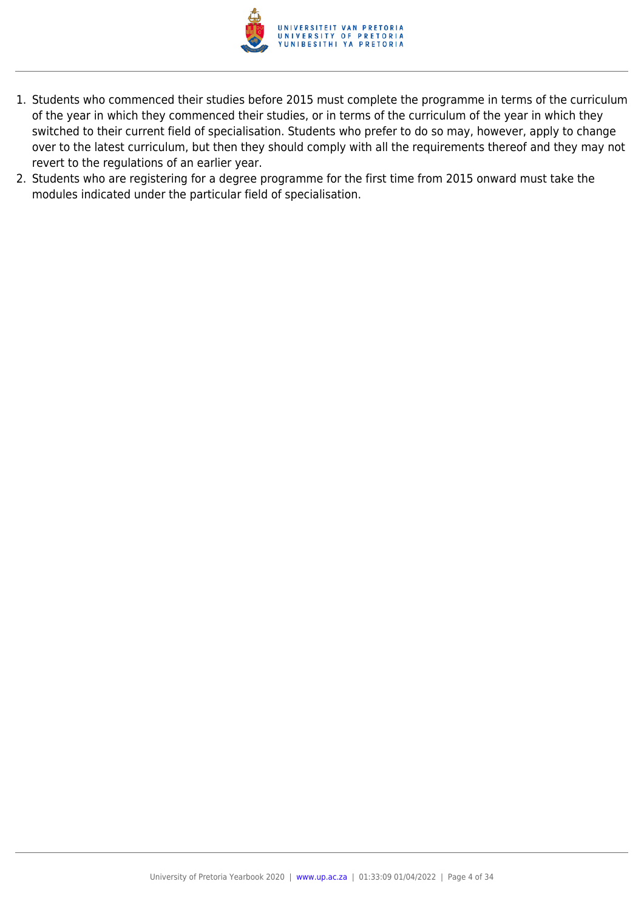

- 1. Students who commenced their studies before 2015 must complete the programme in terms of the curriculum of the year in which they commenced their studies, or in terms of the curriculum of the year in which they switched to their current field of specialisation. Students who prefer to do so may, however, apply to change over to the latest curriculum, but then they should comply with all the requirements thereof and they may not revert to the regulations of an earlier year.
- 2. Students who are registering for a degree programme for the first time from 2015 onward must take the modules indicated under the particular field of specialisation.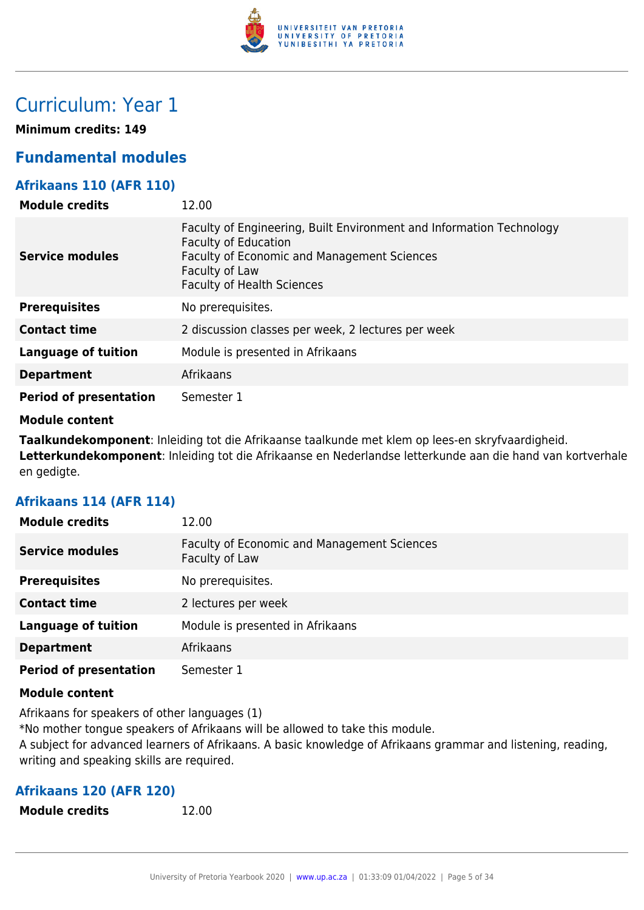

## Curriculum: Year 1

**Minimum credits: 149**

## **Fundamental modules**

## **Afrikaans 110 (AFR 110)**

| <b>Module credits</b>         | 12.00                                                                                                                                                                                                     |
|-------------------------------|-----------------------------------------------------------------------------------------------------------------------------------------------------------------------------------------------------------|
| <b>Service modules</b>        | Faculty of Engineering, Built Environment and Information Technology<br><b>Faculty of Education</b><br>Faculty of Economic and Management Sciences<br>Faculty of Law<br><b>Faculty of Health Sciences</b> |
| <b>Prerequisites</b>          | No prerequisites.                                                                                                                                                                                         |
| <b>Contact time</b>           | 2 discussion classes per week, 2 lectures per week                                                                                                                                                        |
| <b>Language of tuition</b>    | Module is presented in Afrikaans                                                                                                                                                                          |
| <b>Department</b>             | Afrikaans                                                                                                                                                                                                 |
| <b>Period of presentation</b> | Semester 1                                                                                                                                                                                                |

#### **Module content**

**Taalkundekomponent**: Inleiding tot die Afrikaanse taalkunde met klem op lees-en skryfvaardigheid. **Letterkundekomponent**: Inleiding tot die Afrikaanse en Nederlandse letterkunde aan die hand van kortverhale en gedigte.

## **Afrikaans 114 (AFR 114)**

| <b>Module credits</b>         | 12.00                                                         |
|-------------------------------|---------------------------------------------------------------|
| <b>Service modules</b>        | Faculty of Economic and Management Sciences<br>Faculty of Law |
| <b>Prerequisites</b>          | No prerequisites.                                             |
| <b>Contact time</b>           | 2 lectures per week                                           |
| <b>Language of tuition</b>    | Module is presented in Afrikaans                              |
| <b>Department</b>             | Afrikaans                                                     |
| <b>Period of presentation</b> | Semester 1                                                    |

#### **Module content**

Afrikaans for speakers of other languages (1) \*No mother tongue speakers of Afrikaans will be allowed to take this module. A subject for advanced learners of Afrikaans. A basic knowledge of Afrikaans grammar and listening, reading, writing and speaking skills are required.

## **Afrikaans 120 (AFR 120)**

**Module credits** 12.00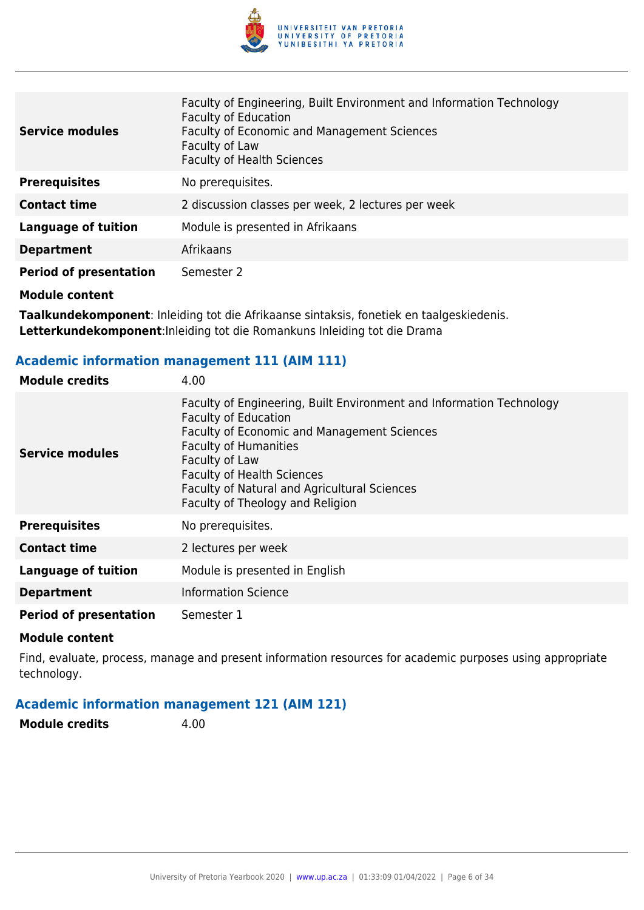

| <b>Service modules</b>        | Faculty of Engineering, Built Environment and Information Technology<br><b>Faculty of Education</b><br>Faculty of Economic and Management Sciences<br>Faculty of Law<br><b>Faculty of Health Sciences</b> |
|-------------------------------|-----------------------------------------------------------------------------------------------------------------------------------------------------------------------------------------------------------|
| <b>Prerequisites</b>          | No prerequisites.                                                                                                                                                                                         |
| <b>Contact time</b>           | 2 discussion classes per week, 2 lectures per week                                                                                                                                                        |
| <b>Language of tuition</b>    | Module is presented in Afrikaans                                                                                                                                                                          |
| <b>Department</b>             | Afrikaans                                                                                                                                                                                                 |
| <b>Period of presentation</b> | Semester 2                                                                                                                                                                                                |
| <b>Module content</b>         |                                                                                                                                                                                                           |

**Taalkundekomponent**: Inleiding tot die Afrikaanse sintaksis, fonetiek en taalgeskiedenis. **Letterkundekomponent**:Inleiding tot die Romankuns Inleiding tot die Drama

## **Academic information management 111 (AIM 111)**

| <b>Module credits</b>         | 4.00                                                                                                                                                                                                                                                                                                                          |
|-------------------------------|-------------------------------------------------------------------------------------------------------------------------------------------------------------------------------------------------------------------------------------------------------------------------------------------------------------------------------|
| <b>Service modules</b>        | Faculty of Engineering, Built Environment and Information Technology<br><b>Faculty of Education</b><br>Faculty of Economic and Management Sciences<br><b>Faculty of Humanities</b><br>Faculty of Law<br><b>Faculty of Health Sciences</b><br>Faculty of Natural and Agricultural Sciences<br>Faculty of Theology and Religion |
| <b>Prerequisites</b>          | No prerequisites.                                                                                                                                                                                                                                                                                                             |
| <b>Contact time</b>           | 2 lectures per week                                                                                                                                                                                                                                                                                                           |
| Language of tuition           | Module is presented in English                                                                                                                                                                                                                                                                                                |
| <b>Department</b>             | <b>Information Science</b>                                                                                                                                                                                                                                                                                                    |
| <b>Period of presentation</b> | Semester 1                                                                                                                                                                                                                                                                                                                    |

#### **Module content**

Find, evaluate, process, manage and present information resources for academic purposes using appropriate technology.

#### **Academic information management 121 (AIM 121)**

**Module credits** 4.00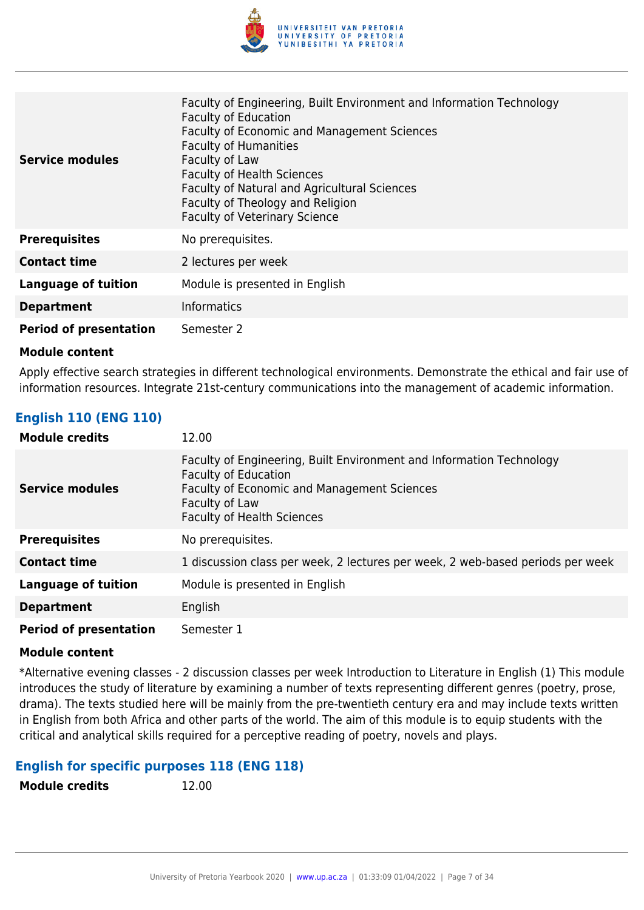

| <b>Service modules</b>        | Faculty of Engineering, Built Environment and Information Technology<br><b>Faculty of Education</b><br><b>Faculty of Economic and Management Sciences</b><br><b>Faculty of Humanities</b><br>Faculty of Law<br><b>Faculty of Health Sciences</b><br>Faculty of Natural and Agricultural Sciences<br>Faculty of Theology and Religion<br><b>Faculty of Veterinary Science</b> |
|-------------------------------|------------------------------------------------------------------------------------------------------------------------------------------------------------------------------------------------------------------------------------------------------------------------------------------------------------------------------------------------------------------------------|
| <b>Prerequisites</b>          | No prerequisites.                                                                                                                                                                                                                                                                                                                                                            |
| <b>Contact time</b>           | 2 lectures per week                                                                                                                                                                                                                                                                                                                                                          |
| <b>Language of tuition</b>    | Module is presented in English                                                                                                                                                                                                                                                                                                                                               |
| <b>Department</b>             | <b>Informatics</b>                                                                                                                                                                                                                                                                                                                                                           |
| <b>Period of presentation</b> | Semester 2                                                                                                                                                                                                                                                                                                                                                                   |

Apply effective search strategies in different technological environments. Demonstrate the ethical and fair use of information resources. Integrate 21st-century communications into the management of academic information.

## **English 110 (ENG 110)**

| <b>Module credits</b>         | 12.00                                                                                                                                                                                                            |
|-------------------------------|------------------------------------------------------------------------------------------------------------------------------------------------------------------------------------------------------------------|
| <b>Service modules</b>        | Faculty of Engineering, Built Environment and Information Technology<br><b>Faculty of Education</b><br><b>Faculty of Economic and Management Sciences</b><br>Faculty of Law<br><b>Faculty of Health Sciences</b> |
| <b>Prerequisites</b>          | No prerequisites.                                                                                                                                                                                                |
| <b>Contact time</b>           | 1 discussion class per week, 2 lectures per week, 2 web-based periods per week                                                                                                                                   |
| <b>Language of tuition</b>    | Module is presented in English                                                                                                                                                                                   |
| <b>Department</b>             | English                                                                                                                                                                                                          |
| <b>Period of presentation</b> | Semester 1                                                                                                                                                                                                       |

#### **Module content**

\*Alternative evening classes - 2 discussion classes per week Introduction to Literature in English (1) This module introduces the study of literature by examining a number of texts representing different genres (poetry, prose, drama). The texts studied here will be mainly from the pre-twentieth century era and may include texts written in English from both Africa and other parts of the world. The aim of this module is to equip students with the critical and analytical skills required for a perceptive reading of poetry, novels and plays.

#### **English for specific purposes 118 (ENG 118)**

**Module credits** 12.00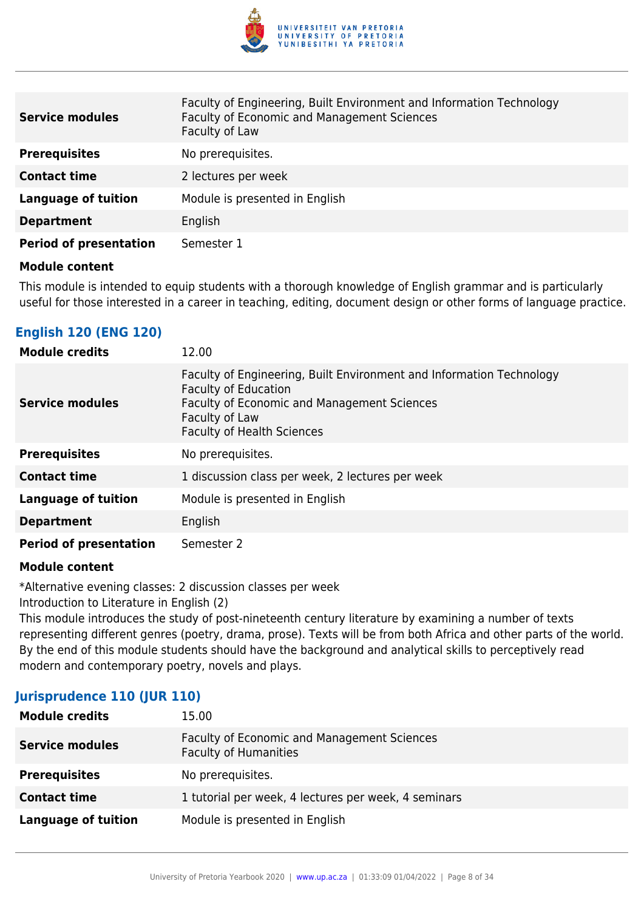

| <b>Service modules</b>        | Faculty of Engineering, Built Environment and Information Technology<br>Faculty of Economic and Management Sciences<br>Faculty of Law |
|-------------------------------|---------------------------------------------------------------------------------------------------------------------------------------|
| <b>Prerequisites</b>          | No prerequisites.                                                                                                                     |
| <b>Contact time</b>           | 2 lectures per week                                                                                                                   |
| <b>Language of tuition</b>    | Module is presented in English                                                                                                        |
| <b>Department</b>             | English                                                                                                                               |
| <b>Period of presentation</b> | Semester 1                                                                                                                            |

This module is intended to equip students with a thorough knowledge of English grammar and is particularly useful for those interested in a career in teaching, editing, document design or other forms of language practice.

## **English 120 (ENG 120)**

| <b>Module credits</b>         | 12.00                                                                                                                                                                                                            |
|-------------------------------|------------------------------------------------------------------------------------------------------------------------------------------------------------------------------------------------------------------|
| <b>Service modules</b>        | Faculty of Engineering, Built Environment and Information Technology<br><b>Faculty of Education</b><br><b>Faculty of Economic and Management Sciences</b><br>Faculty of Law<br><b>Faculty of Health Sciences</b> |
| <b>Prerequisites</b>          | No prerequisites.                                                                                                                                                                                                |
| <b>Contact time</b>           | 1 discussion class per week, 2 lectures per week                                                                                                                                                                 |
| <b>Language of tuition</b>    | Module is presented in English                                                                                                                                                                                   |
| <b>Department</b>             | English                                                                                                                                                                                                          |
| <b>Period of presentation</b> | Semester 2                                                                                                                                                                                                       |

#### **Module content**

\*Alternative evening classes: 2 discussion classes per week

Introduction to Literature in English (2)

This module introduces the study of post-nineteenth century literature by examining a number of texts representing different genres (poetry, drama, prose). Texts will be from both Africa and other parts of the world. By the end of this module students should have the background and analytical skills to perceptively read modern and contemporary poetry, novels and plays.

#### **Jurisprudence 110 (JUR 110)**

| <b>Module credits</b>      | 15.00                                                                       |
|----------------------------|-----------------------------------------------------------------------------|
| <b>Service modules</b>     | Faculty of Economic and Management Sciences<br><b>Faculty of Humanities</b> |
| <b>Prerequisites</b>       | No prerequisites.                                                           |
| <b>Contact time</b>        | 1 tutorial per week, 4 lectures per week, 4 seminars                        |
| <b>Language of tuition</b> | Module is presented in English                                              |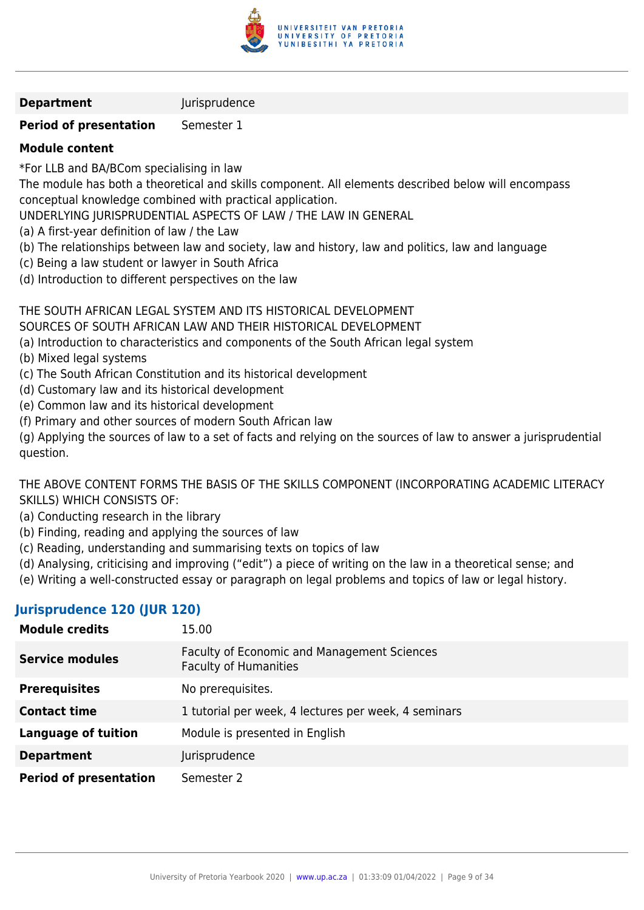

#### **Department Iurisprudence**

## **Period of presentation** Semester 1

## **Module content**

\*For LLB and BA/BCom specialising in law

The module has both a theoretical and skills component. All elements described below will encompass conceptual knowledge combined with practical application.

UNDERLYING JURISPRUDENTIAL ASPECTS OF LAW / THE LAW IN GENERAL

- (a) A first-year definition of law / the Law
- (b) The relationships between law and society, law and history, law and politics, law and language
- (c) Being a law student or lawyer in South Africa
- (d) Introduction to different perspectives on the law

## THE SOUTH AFRICAN LEGAL SYSTEM AND ITS HISTORICAL DEVELOPMENT

SOURCES OF SOUTH AFRICAN LAW AND THEIR HISTORICAL DEVELOPMENT

- (a) Introduction to characteristics and components of the South African legal system
- (b) Mixed legal systems
- (c) The South African Constitution and its historical development
- (d) Customary law and its historical development
- (e) Common law and its historical development
- (f) Primary and other sources of modern South African law

(g) Applying the sources of law to a set of facts and relying on the sources of law to answer a jurisprudential question.

THE ABOVE CONTENT FORMS THE BASIS OF THE SKILLS COMPONENT (INCORPORATING ACADEMIC LITERACY SKILLS) WHICH CONSISTS OF:

- (a) Conducting research in the library
- (b) Finding, reading and applying the sources of law
- (c) Reading, understanding and summarising texts on topics of law
- (d) Analysing, criticising and improving ("edit") a piece of writing on the law in a theoretical sense; and
- (e) Writing a well-constructed essay or paragraph on legal problems and topics of law or legal history.

## **Jurisprudence 120 (JUR 120)**

| <b>Module credits</b>         | 15.00                                                                              |
|-------------------------------|------------------------------------------------------------------------------------|
| <b>Service modules</b>        | <b>Faculty of Economic and Management Sciences</b><br><b>Faculty of Humanities</b> |
| <b>Prerequisites</b>          | No prerequisites.                                                                  |
| <b>Contact time</b>           | 1 tutorial per week, 4 lectures per week, 4 seminars                               |
| <b>Language of tuition</b>    | Module is presented in English                                                     |
| <b>Department</b>             | Jurisprudence                                                                      |
| <b>Period of presentation</b> | Semester 2                                                                         |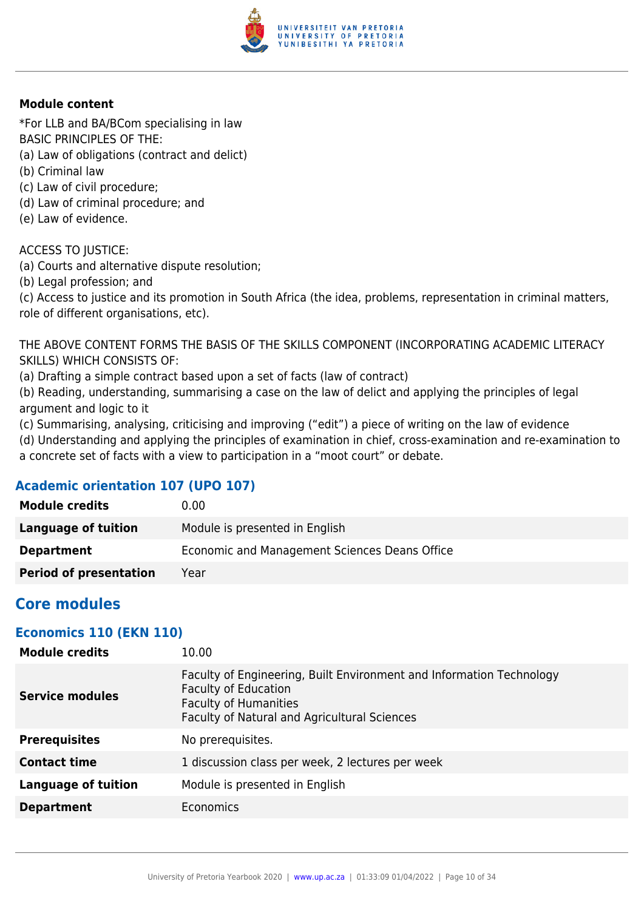

\*For LLB and BA/BCom specialising in law BASIC PRINCIPLES OF THE:

- (a) Law of obligations (contract and delict)
- (b) Criminal law
- (c) Law of civil procedure;
- (d) Law of criminal procedure; and
- (e) Law of evidence.

ACCESS TO JUSTICE:

(a) Courts and alternative dispute resolution;

(b) Legal profession; and

(c) Access to justice and its promotion in South Africa (the idea, problems, representation in criminal matters, role of different organisations, etc).

THE ABOVE CONTENT FORMS THE BASIS OF THE SKILLS COMPONENT (INCORPORATING ACADEMIC LITERACY SKILLS) WHICH CONSISTS OF:

(a) Drafting a simple contract based upon a set of facts (law of contract)

(b) Reading, understanding, summarising a case on the law of delict and applying the principles of legal argument and logic to it

(c) Summarising, analysing, criticising and improving ("edit") a piece of writing on the law of evidence

(d) Understanding and applying the principles of examination in chief, cross-examination and re-examination to a concrete set of facts with a view to participation in a "moot court" or debate.

## **Academic orientation 107 (UPO 107)**

| <b>Module credits</b>         | 0.00                                          |
|-------------------------------|-----------------------------------------------|
| Language of tuition           | Module is presented in English                |
| <b>Department</b>             | Economic and Management Sciences Deans Office |
| <b>Period of presentation</b> | Year                                          |

## **Core modules**

#### **Economics 110 (EKN 110)**

| <b>Module credits</b>  | 10.00                                                                                                                                                                               |
|------------------------|-------------------------------------------------------------------------------------------------------------------------------------------------------------------------------------|
| <b>Service modules</b> | Faculty of Engineering, Built Environment and Information Technology<br><b>Faculty of Education</b><br><b>Faculty of Humanities</b><br>Faculty of Natural and Agricultural Sciences |
| <b>Prerequisites</b>   | No prerequisites.                                                                                                                                                                   |
| <b>Contact time</b>    | 1 discussion class per week, 2 lectures per week                                                                                                                                    |
| Language of tuition    | Module is presented in English                                                                                                                                                      |
| <b>Department</b>      | <b>Economics</b>                                                                                                                                                                    |
|                        |                                                                                                                                                                                     |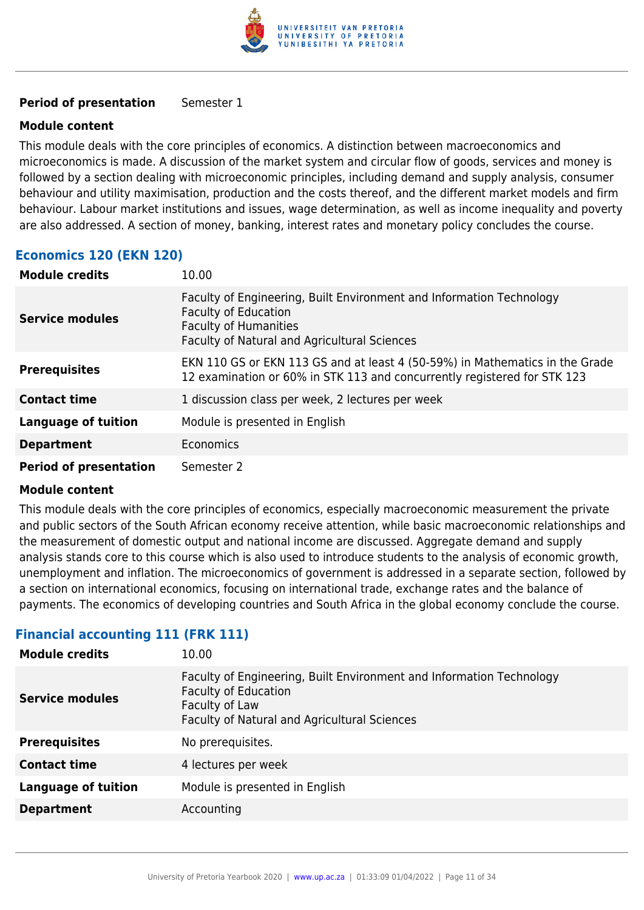

#### **Period of presentation** Semester 1

#### **Module content**

This module deals with the core principles of economics. A distinction between macroeconomics and microeconomics is made. A discussion of the market system and circular flow of goods, services and money is followed by a section dealing with microeconomic principles, including demand and supply analysis, consumer behaviour and utility maximisation, production and the costs thereof, and the different market models and firm behaviour. Labour market institutions and issues, wage determination, as well as income inequality and poverty are also addressed. A section of money, banking, interest rates and monetary policy concludes the course.

## **Economics 120 (EKN 120)**

| <b>Module credits</b>         | 10.00                                                                                                                                                                               |
|-------------------------------|-------------------------------------------------------------------------------------------------------------------------------------------------------------------------------------|
| <b>Service modules</b>        | Faculty of Engineering, Built Environment and Information Technology<br><b>Faculty of Education</b><br><b>Faculty of Humanities</b><br>Faculty of Natural and Agricultural Sciences |
| <b>Prerequisites</b>          | EKN 110 GS or EKN 113 GS and at least 4 (50-59%) in Mathematics in the Grade<br>12 examination or 60% in STK 113 and concurrently registered for STK 123                            |
| <b>Contact time</b>           | 1 discussion class per week, 2 lectures per week                                                                                                                                    |
| <b>Language of tuition</b>    | Module is presented in English                                                                                                                                                      |
| <b>Department</b>             | <b>Economics</b>                                                                                                                                                                    |
| <b>Period of presentation</b> | Semester 2                                                                                                                                                                          |

#### **Module content**

This module deals with the core principles of economics, especially macroeconomic measurement the private and public sectors of the South African economy receive attention, while basic macroeconomic relationships and the measurement of domestic output and national income are discussed. Aggregate demand and supply analysis stands core to this course which is also used to introduce students to the analysis of economic growth, unemployment and inflation. The microeconomics of government is addressed in a separate section, followed by a section on international economics, focusing on international trade, exchange rates and the balance of payments. The economics of developing countries and South Africa in the global economy conclude the course.

## **Financial accounting 111 (FRK 111)**

| <b>Module credits</b>      | 10.00                                                                                                                                                                        |
|----------------------------|------------------------------------------------------------------------------------------------------------------------------------------------------------------------------|
| <b>Service modules</b>     | Faculty of Engineering, Built Environment and Information Technology<br><b>Faculty of Education</b><br>Faculty of Law<br><b>Faculty of Natural and Agricultural Sciences</b> |
| <b>Prerequisites</b>       | No prerequisites.                                                                                                                                                            |
| <b>Contact time</b>        | 4 lectures per week                                                                                                                                                          |
| <b>Language of tuition</b> | Module is presented in English                                                                                                                                               |
| <b>Department</b>          | Accounting                                                                                                                                                                   |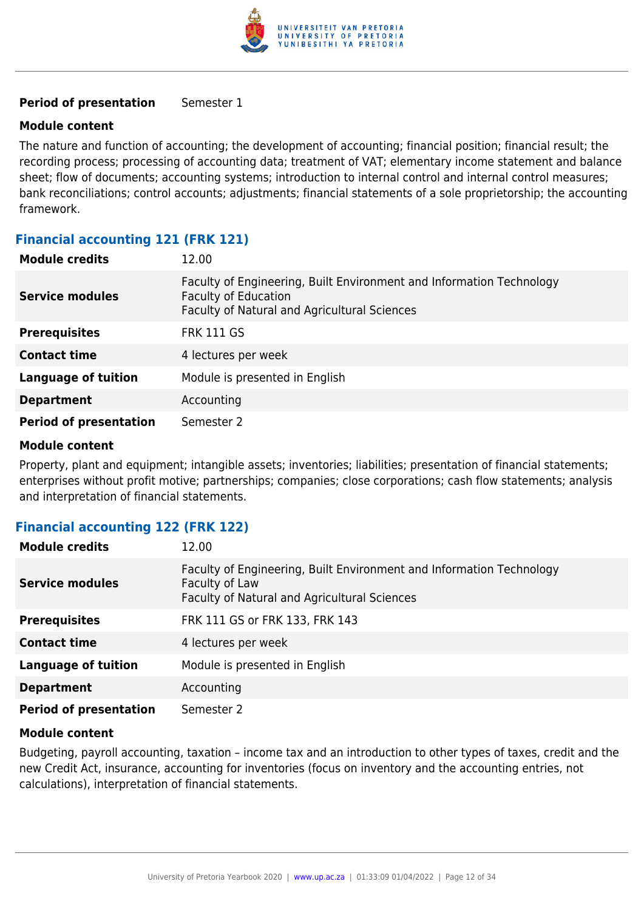

#### **Period of presentation** Semester 1

#### **Module content**

The nature and function of accounting; the development of accounting; financial position; financial result; the recording process; processing of accounting data; treatment of VAT; elementary income statement and balance sheet; flow of documents; accounting systems; introduction to internal control and internal control measures; bank reconciliations; control accounts; adjustments; financial statements of a sole proprietorship; the accounting framework.

## **Financial accounting 121 (FRK 121)**

| <b>Module credits</b>         | 12.00                                                                                                                                               |
|-------------------------------|-----------------------------------------------------------------------------------------------------------------------------------------------------|
| <b>Service modules</b>        | Faculty of Engineering, Built Environment and Information Technology<br><b>Faculty of Education</b><br>Faculty of Natural and Agricultural Sciences |
| <b>Prerequisites</b>          | <b>FRK 111 GS</b>                                                                                                                                   |
| <b>Contact time</b>           | 4 lectures per week                                                                                                                                 |
| <b>Language of tuition</b>    | Module is presented in English                                                                                                                      |
| <b>Department</b>             | Accounting                                                                                                                                          |
| <b>Period of presentation</b> | Semester 2                                                                                                                                          |

#### **Module content**

Property, plant and equipment; intangible assets; inventories; liabilities; presentation of financial statements; enterprises without profit motive; partnerships; companies; close corporations; cash flow statements; analysis and interpretation of financial statements.

## **Financial accounting 122 (FRK 122)**

| <b>Module credits</b>         | 12.00                                                                                                                                  |
|-------------------------------|----------------------------------------------------------------------------------------------------------------------------------------|
| <b>Service modules</b>        | Faculty of Engineering, Built Environment and Information Technology<br>Faculty of Law<br>Faculty of Natural and Agricultural Sciences |
| <b>Prerequisites</b>          | FRK 111 GS or FRK 133, FRK 143                                                                                                         |
| <b>Contact time</b>           | 4 lectures per week                                                                                                                    |
| <b>Language of tuition</b>    | Module is presented in English                                                                                                         |
| <b>Department</b>             | Accounting                                                                                                                             |
| <b>Period of presentation</b> | Semester 2                                                                                                                             |

#### **Module content**

Budgeting, payroll accounting, taxation – income tax and an introduction to other types of taxes, credit and the new Credit Act, insurance, accounting for inventories (focus on inventory and the accounting entries, not calculations), interpretation of financial statements.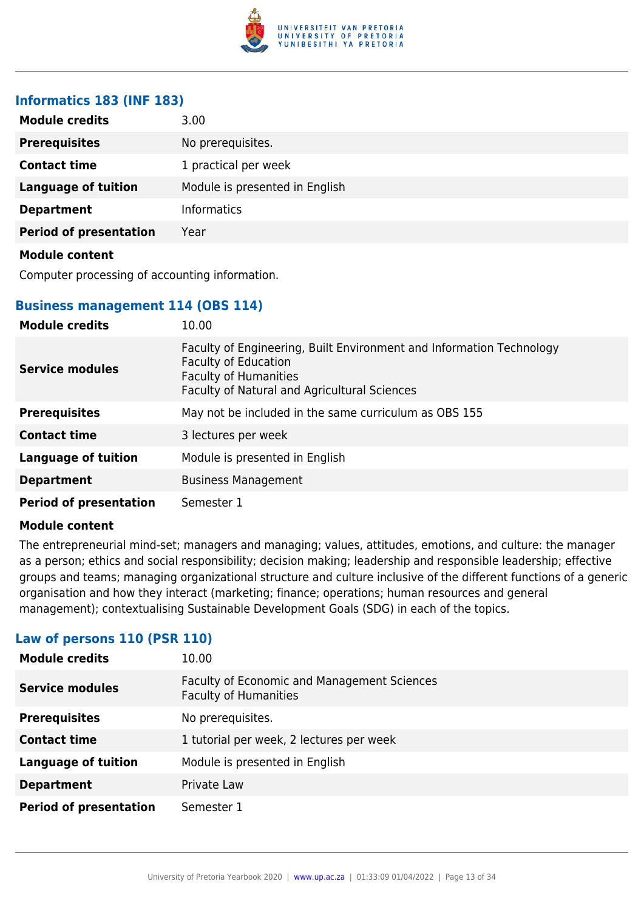

## **Informatics 183 (INF 183)**

| <b>Module credits</b>         | 3.00                           |
|-------------------------------|--------------------------------|
| <b>Prerequisites</b>          | No prerequisites.              |
| <b>Contact time</b>           | 1 practical per week           |
| <b>Language of tuition</b>    | Module is presented in English |
| <b>Department</b>             | <b>Informatics</b>             |
| <b>Period of presentation</b> | Year                           |
| <b>Module content</b>         |                                |

Computer processing of accounting information.

## **Business management 114 (OBS 114)**

| <b>Module credits</b>         | 10.00                                                                                                                                                                        |
|-------------------------------|------------------------------------------------------------------------------------------------------------------------------------------------------------------------------|
| <b>Service modules</b>        | Faculty of Engineering, Built Environment and Information Technology<br>Faculty of Education<br><b>Faculty of Humanities</b><br>Faculty of Natural and Agricultural Sciences |
| <b>Prerequisites</b>          | May not be included in the same curriculum as OBS 155                                                                                                                        |
| <b>Contact time</b>           | 3 lectures per week                                                                                                                                                          |
| <b>Language of tuition</b>    | Module is presented in English                                                                                                                                               |
| <b>Department</b>             | <b>Business Management</b>                                                                                                                                                   |
| <b>Period of presentation</b> | Semester 1                                                                                                                                                                   |

#### **Module content**

The entrepreneurial mind-set; managers and managing; values, attitudes, emotions, and culture: the manager as a person; ethics and social responsibility; decision making; leadership and responsible leadership; effective groups and teams; managing organizational structure and culture inclusive of the different functions of a generic organisation and how they interact (marketing; finance; operations; human resources and general management); contextualising Sustainable Development Goals (SDG) in each of the topics.

| <b>Module credits</b>         | 10.00                                                                       |
|-------------------------------|-----------------------------------------------------------------------------|
| <b>Service modules</b>        | Faculty of Economic and Management Sciences<br><b>Faculty of Humanities</b> |
| <b>Prerequisites</b>          | No prerequisites.                                                           |
| <b>Contact time</b>           | 1 tutorial per week, 2 lectures per week                                    |
| <b>Language of tuition</b>    | Module is presented in English                                              |
| <b>Department</b>             | Private Law                                                                 |
| <b>Period of presentation</b> | Semester 1                                                                  |

#### **Law of persons 110 (PSR 110)**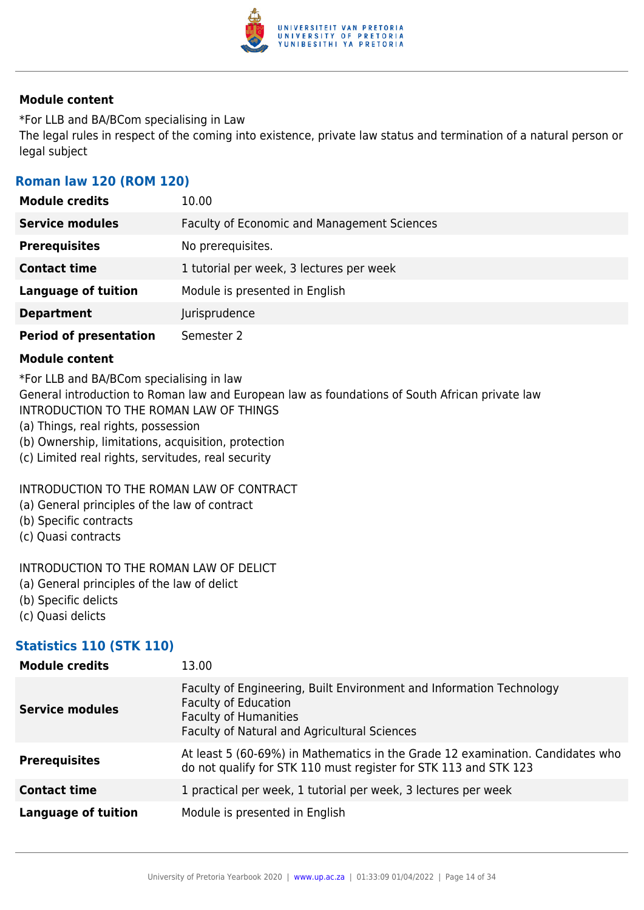

\*For LLB and BA/BCom specialising in Law The legal rules in respect of the coming into existence, private law status and termination of a natural person or legal subject

## **Roman law 120 (ROM 120)**

| <b>Module credits</b>         | 10.00                                              |
|-------------------------------|----------------------------------------------------|
| <b>Service modules</b>        | <b>Faculty of Economic and Management Sciences</b> |
| <b>Prerequisites</b>          | No prerequisites.                                  |
| <b>Contact time</b>           | 1 tutorial per week, 3 lectures per week           |
| <b>Language of tuition</b>    | Module is presented in English                     |
| <b>Department</b>             | Jurisprudence                                      |
| <b>Period of presentation</b> | Semester 2                                         |

#### **Module content**

\*For LLB and BA/BCom specialising in law

General introduction to Roman law and European law as foundations of South African private law INTRODUCTION TO THE ROMAN LAW OF THINGS

- (a) Things, real rights, possession
- (b) Ownership, limitations, acquisition, protection
- (c) Limited real rights, servitudes, real security

#### INTRODUCTION TO THE ROMAN LAW OF CONTRACT

- (a) General principles of the law of contract
- (b) Specific contracts
- (c) Quasi contracts

#### INTRODUCTION TO THE ROMAN LAW OF DELICT

- (a) General principles of the law of delict
- (b) Specific delicts
- (c) Quasi delicts

## **Statistics 110 (STK 110)**

| <b>Module credits</b>      | 13.00                                                                                                                                                                               |
|----------------------------|-------------------------------------------------------------------------------------------------------------------------------------------------------------------------------------|
| <b>Service modules</b>     | Faculty of Engineering, Built Environment and Information Technology<br><b>Faculty of Education</b><br><b>Faculty of Humanities</b><br>Faculty of Natural and Agricultural Sciences |
| <b>Prerequisites</b>       | At least 5 (60-69%) in Mathematics in the Grade 12 examination. Candidates who<br>do not qualify for STK 110 must register for STK 113 and STK 123                                  |
| <b>Contact time</b>        | 1 practical per week, 1 tutorial per week, 3 lectures per week                                                                                                                      |
| <b>Language of tuition</b> | Module is presented in English                                                                                                                                                      |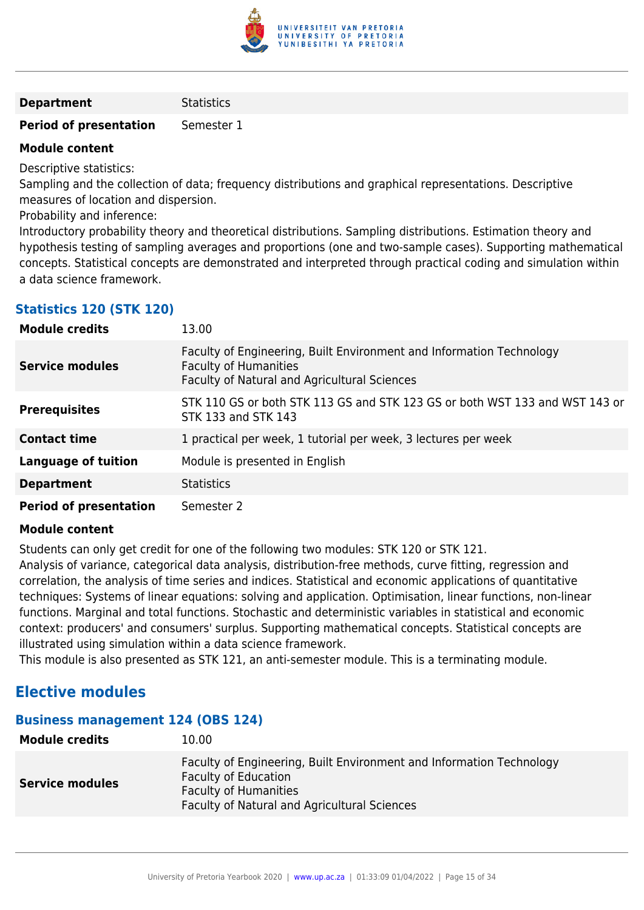

#### **Department** Statistics

#### **Period of presentation** Semester 1

#### **Module content**

Descriptive statistics:

Sampling and the collection of data; frequency distributions and graphical representations. Descriptive measures of location and dispersion.

Probability and inference:

Introductory probability theory and theoretical distributions. Sampling distributions. Estimation theory and hypothesis testing of sampling averages and proportions (one and two-sample cases). Supporting mathematical concepts. Statistical concepts are demonstrated and interpreted through practical coding and simulation within a data science framework.

## **Statistics 120 (STK 120)**

| <b>Module credits</b>         | 13.00                                                                                                                                                |
|-------------------------------|------------------------------------------------------------------------------------------------------------------------------------------------------|
| <b>Service modules</b>        | Faculty of Engineering, Built Environment and Information Technology<br><b>Faculty of Humanities</b><br>Faculty of Natural and Agricultural Sciences |
| <b>Prerequisites</b>          | STK 110 GS or both STK 113 GS and STK 123 GS or both WST 133 and WST 143 or<br>STK 133 and STK 143                                                   |
| <b>Contact time</b>           | 1 practical per week, 1 tutorial per week, 3 lectures per week                                                                                       |
| <b>Language of tuition</b>    | Module is presented in English                                                                                                                       |
| <b>Department</b>             | <b>Statistics</b>                                                                                                                                    |
| <b>Period of presentation</b> | Semester 2                                                                                                                                           |

#### **Module content**

Students can only get credit for one of the following two modules: STK 120 or STK 121.

Analysis of variance, categorical data analysis, distribution-free methods, curve fitting, regression and correlation, the analysis of time series and indices. Statistical and economic applications of quantitative techniques: Systems of linear equations: solving and application. Optimisation, linear functions, non-linear functions. Marginal and total functions. Stochastic and deterministic variables in statistical and economic context: producers' and consumers' surplus. Supporting mathematical concepts. Statistical concepts are illustrated using simulation within a data science framework.

This module is also presented as STK 121, an anti-semester module. This is a terminating module.

## **Elective modules**

#### **Business management 124 (OBS 124)**

| <b>Module credits</b>  | 10.00                                                                                                                                                                                      |
|------------------------|--------------------------------------------------------------------------------------------------------------------------------------------------------------------------------------------|
| <b>Service modules</b> | Faculty of Engineering, Built Environment and Information Technology<br><b>Faculty of Education</b><br><b>Faculty of Humanities</b><br><b>Faculty of Natural and Agricultural Sciences</b> |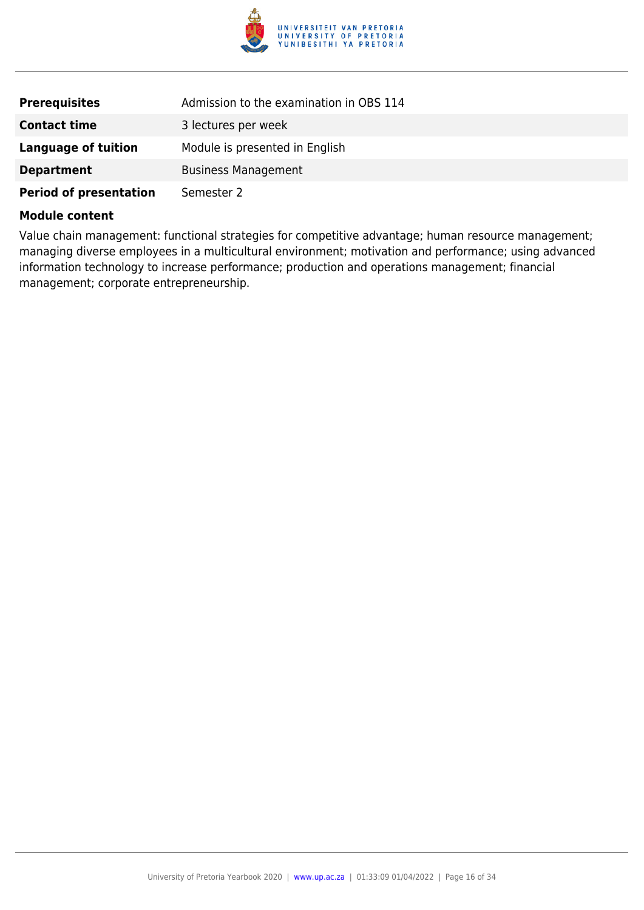

| <b>Prerequisites</b>          | Admission to the examination in OBS 114 |
|-------------------------------|-----------------------------------------|
| <b>Contact time</b>           | 3 lectures per week                     |
| Language of tuition           | Module is presented in English          |
| <b>Department</b>             | <b>Business Management</b>              |
| <b>Period of presentation</b> | Semester 2                              |

Value chain management: functional strategies for competitive advantage; human resource management; managing diverse employees in a multicultural environment; motivation and performance; using advanced information technology to increase performance; production and operations management; financial management; corporate entrepreneurship.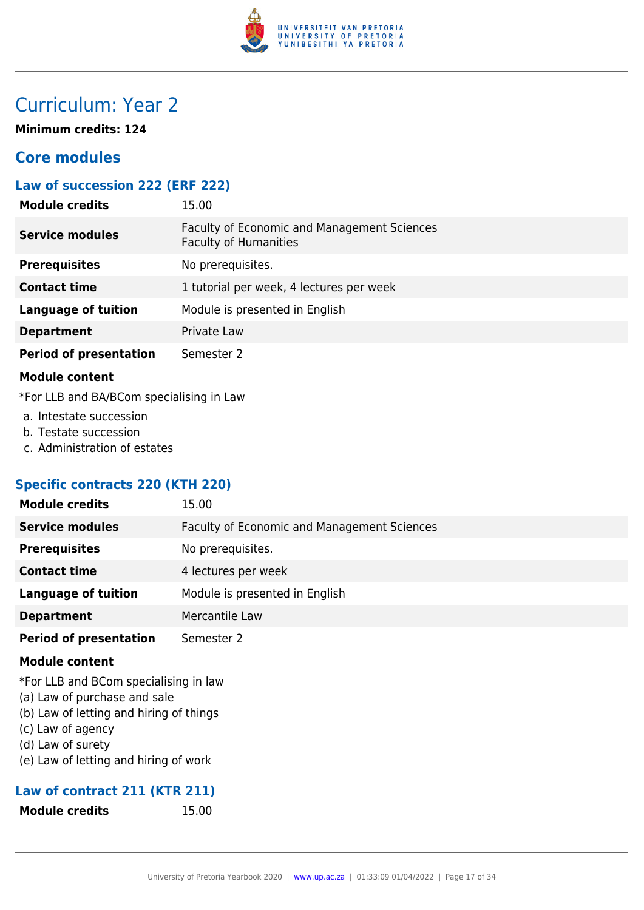

## Curriculum: Year 2

**Minimum credits: 124**

## **Core modules**

## **Law of succession 222 (ERF 222)**

| <b>Module credits</b>         | 15.00                                                                       |
|-------------------------------|-----------------------------------------------------------------------------|
| <b>Service modules</b>        | Faculty of Economic and Management Sciences<br><b>Faculty of Humanities</b> |
| <b>Prerequisites</b>          | No prerequisites.                                                           |
| <b>Contact time</b>           | 1 tutorial per week, 4 lectures per week                                    |
| <b>Language of tuition</b>    | Module is presented in English                                              |
| <b>Department</b>             | Private Law                                                                 |
| <b>Period of presentation</b> | Semester 2                                                                  |

#### **Module content**

\*For LLB and BA/BCom specialising in Law

- a. Intestate succession
- b. Testate succession
- c. Administration of estates

## **Specific contracts 220 (KTH 220)**

| <b>Module credits</b>         | 15.00                                              |
|-------------------------------|----------------------------------------------------|
| <b>Service modules</b>        | <b>Faculty of Economic and Management Sciences</b> |
| <b>Prerequisites</b>          | No prerequisites.                                  |
| <b>Contact time</b>           | 4 lectures per week                                |
| <b>Language of tuition</b>    | Module is presented in English                     |
| <b>Department</b>             | Mercantile Law                                     |
| <b>Period of presentation</b> | Semester 2                                         |
| <b>Module content</b>         |                                                    |

- \*For LLB and BCom specialising in law
- (a) Law of purchase and sale
- (b) Law of letting and hiring of things
- (c) Law of agency
- (d) Law of surety
- (e) Law of letting and hiring of work

## **Law of contract 211 (KTR 211)**

**Module credits** 15.00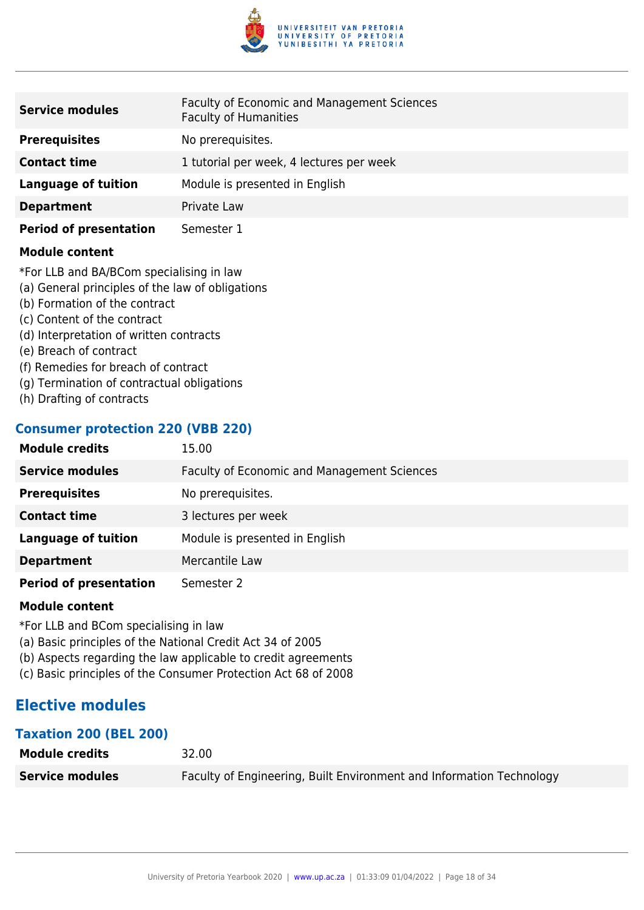

| <b>Service modules</b>        | <b>Faculty of Economic and Management Sciences</b><br><b>Faculty of Humanities</b> |
|-------------------------------|------------------------------------------------------------------------------------|
| <b>Prerequisites</b>          | No prerequisites.                                                                  |
| <b>Contact time</b>           | 1 tutorial per week, 4 lectures per week                                           |
| <b>Language of tuition</b>    | Module is presented in English                                                     |
| <b>Department</b>             | Private Law                                                                        |
| <b>Period of presentation</b> | Semester 1                                                                         |

\*For LLB and BA/BCom specialising in law

- (a) General principles of the law of obligations
- (b) Formation of the contract
- (c) Content of the contract
- (d) Interpretation of written contracts
- (e) Breach of contract
- (f) Remedies for breach of contract
- (g) Termination of contractual obligations
- (h) Drafting of contracts

## **Consumer protection 220 (VBB 220)**

| <b>Module credits</b>         | 15.00                                       |
|-------------------------------|---------------------------------------------|
| <b>Service modules</b>        | Faculty of Economic and Management Sciences |
| <b>Prerequisites</b>          | No prerequisites.                           |
| <b>Contact time</b>           | 3 lectures per week                         |
| <b>Language of tuition</b>    | Module is presented in English              |
| <b>Department</b>             | Mercantile Law                              |
| <b>Period of presentation</b> | Semester 2                                  |

#### **Module content**

\*For LLB and BCom specialising in law

- (a) Basic principles of the National Credit Act 34 of 2005
- (b) Aspects regarding the law applicable to credit agreements
- (c) Basic principles of the Consumer Protection Act 68 of 2008

## **Elective modules**

#### **Taxation 200 (BEL 200)**

| <b>Module credits</b>  | 32.00                                                                |
|------------------------|----------------------------------------------------------------------|
| <b>Service modules</b> | Faculty of Engineering, Built Environment and Information Technology |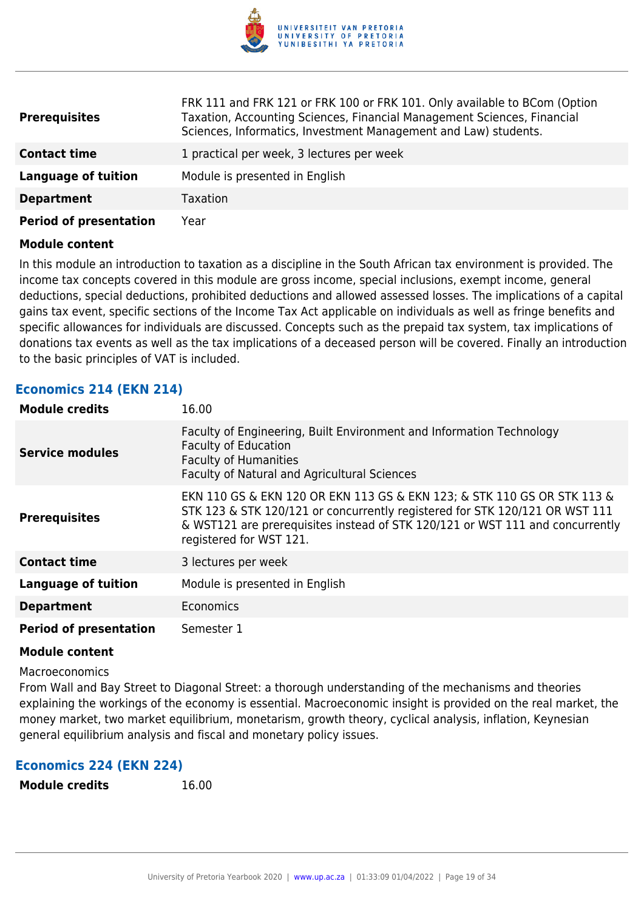

| <b>Prerequisites</b>          | FRK 111 and FRK 121 or FRK 100 or FRK 101. Only available to BCom (Option<br>Taxation, Accounting Sciences, Financial Management Sciences, Financial<br>Sciences, Informatics, Investment Management and Law) students. |
|-------------------------------|-------------------------------------------------------------------------------------------------------------------------------------------------------------------------------------------------------------------------|
| <b>Contact time</b>           | 1 practical per week, 3 lectures per week                                                                                                                                                                               |
| Language of tuition           | Module is presented in English                                                                                                                                                                                          |
| <b>Department</b>             | Taxation                                                                                                                                                                                                                |
| <b>Period of presentation</b> | Year                                                                                                                                                                                                                    |

In this module an introduction to taxation as a discipline in the South African tax environment is provided. The income tax concepts covered in this module are gross income, special inclusions, exempt income, general deductions, special deductions, prohibited deductions and allowed assessed losses. The implications of a capital gains tax event, specific sections of the Income Tax Act applicable on individuals as well as fringe benefits and specific allowances for individuals are discussed. Concepts such as the prepaid tax system, tax implications of donations tax events as well as the tax implications of a deceased person will be covered. Finally an introduction to the basic principles of VAT is included.

## **Economics 214 (EKN 214)**

| <b>Module credits</b>         | 16.00                                                                                                                                                                                                                                                              |
|-------------------------------|--------------------------------------------------------------------------------------------------------------------------------------------------------------------------------------------------------------------------------------------------------------------|
| <b>Service modules</b>        | Faculty of Engineering, Built Environment and Information Technology<br><b>Faculty of Education</b><br><b>Faculty of Humanities</b><br>Faculty of Natural and Agricultural Sciences                                                                                |
| <b>Prerequisites</b>          | EKN 110 GS & EKN 120 OR EKN 113 GS & EKN 123; & STK 110 GS OR STK 113 &<br>STK 123 & STK 120/121 or concurrently registered for STK 120/121 OR WST 111<br>& WST121 are prerequisites instead of STK 120/121 or WST 111 and concurrently<br>registered for WST 121. |
| <b>Contact time</b>           | 3 lectures per week                                                                                                                                                                                                                                                |
| <b>Language of tuition</b>    | Module is presented in English                                                                                                                                                                                                                                     |
| <b>Department</b>             | Economics                                                                                                                                                                                                                                                          |
| <b>Period of presentation</b> | Semester 1                                                                                                                                                                                                                                                         |

#### **Module content**

#### Macroeconomics

From Wall and Bay Street to Diagonal Street: a thorough understanding of the mechanisms and theories explaining the workings of the economy is essential. Macroeconomic insight is provided on the real market, the money market, two market equilibrium, monetarism, growth theory, cyclical analysis, inflation, Keynesian general equilibrium analysis and fiscal and monetary policy issues.

#### **Economics 224 (EKN 224)**

```
Module credits 16.00
```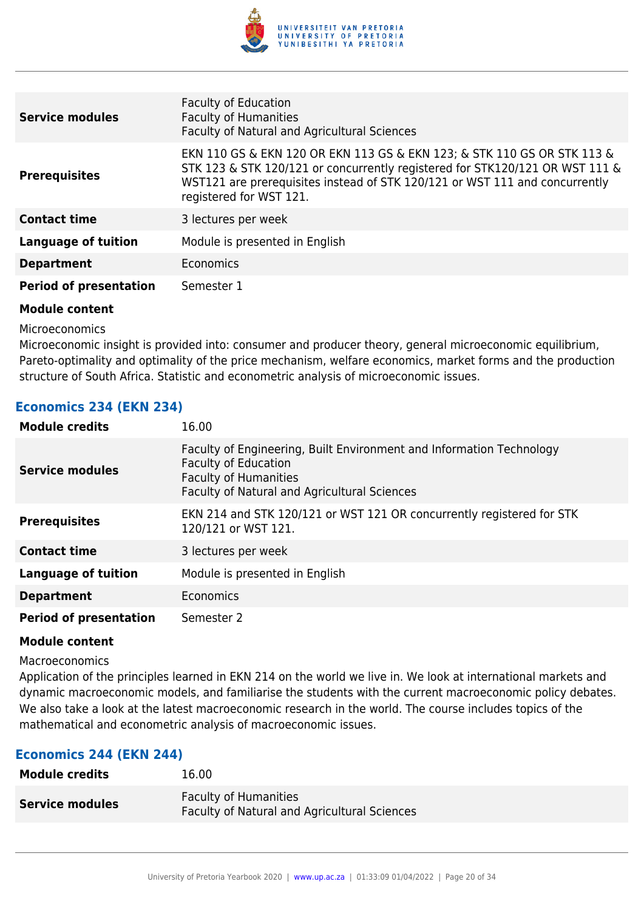

| <b>Service modules</b>        | <b>Faculty of Education</b><br><b>Faculty of Humanities</b><br>Faculty of Natural and Agricultural Sciences                                                                                                                                                       |
|-------------------------------|-------------------------------------------------------------------------------------------------------------------------------------------------------------------------------------------------------------------------------------------------------------------|
| <b>Prerequisites</b>          | EKN 110 GS & EKN 120 OR EKN 113 GS & EKN 123; & STK 110 GS OR STK 113 &<br>STK 123 & STK 120/121 or concurrently registered for STK120/121 OR WST 111 &<br>WST121 are prerequisites instead of STK 120/121 or WST 111 and concurrently<br>registered for WST 121. |
| <b>Contact time</b>           | 3 lectures per week                                                                                                                                                                                                                                               |
| <b>Language of tuition</b>    | Module is presented in English                                                                                                                                                                                                                                    |
| <b>Department</b>             | Economics                                                                                                                                                                                                                                                         |
| <b>Period of presentation</b> | Semester 1                                                                                                                                                                                                                                                        |

Microeconomics

Microeconomic insight is provided into: consumer and producer theory, general microeconomic equilibrium, Pareto-optimality and optimality of the price mechanism, welfare economics, market forms and the production structure of South Africa. Statistic and econometric analysis of microeconomic issues.

## **Economics 234 (EKN 234)**

| <b>Module credits</b>         | 16.00                                                                                                                                                                               |
|-------------------------------|-------------------------------------------------------------------------------------------------------------------------------------------------------------------------------------|
| <b>Service modules</b>        | Faculty of Engineering, Built Environment and Information Technology<br><b>Faculty of Education</b><br><b>Faculty of Humanities</b><br>Faculty of Natural and Agricultural Sciences |
| <b>Prerequisites</b>          | EKN 214 and STK 120/121 or WST 121 OR concurrently registered for STK<br>120/121 or WST 121.                                                                                        |
| <b>Contact time</b>           | 3 lectures per week                                                                                                                                                                 |
| <b>Language of tuition</b>    | Module is presented in English                                                                                                                                                      |
| <b>Department</b>             | Economics                                                                                                                                                                           |
| <b>Period of presentation</b> | Semester 2                                                                                                                                                                          |

#### **Module content**

Macroeconomics

Application of the principles learned in EKN 214 on the world we live in. We look at international markets and dynamic macroeconomic models, and familiarise the students with the current macroeconomic policy debates. We also take a look at the latest macroeconomic research in the world. The course includes topics of the mathematical and econometric analysis of macroeconomic issues.

#### **Economics 244 (EKN 244)**

| <b>Module credits</b>  | 16.00                                                                               |
|------------------------|-------------------------------------------------------------------------------------|
| <b>Service modules</b> | <b>Faculty of Humanities</b><br><b>Faculty of Natural and Agricultural Sciences</b> |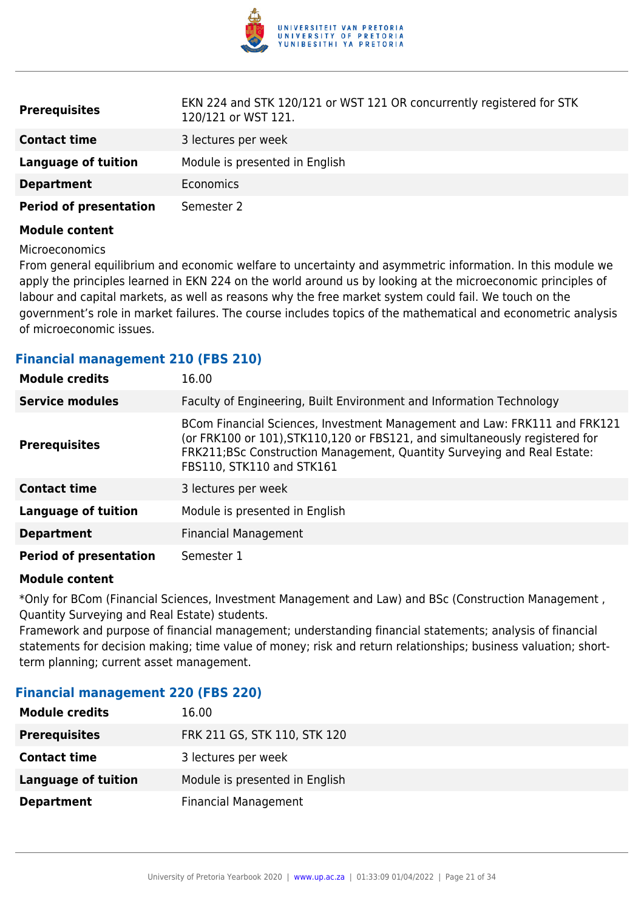

| <b>Prerequisites</b>          | EKN 224 and STK 120/121 or WST 121 OR concurrently registered for STK<br>120/121 or WST 121. |
|-------------------------------|----------------------------------------------------------------------------------------------|
| <b>Contact time</b>           | 3 lectures per week                                                                          |
| Language of tuition           | Module is presented in English                                                               |
| <b>Department</b>             | <b>Economics</b>                                                                             |
| <b>Period of presentation</b> | Semester 2                                                                                   |

#### Microeconomics

From general equilibrium and economic welfare to uncertainty and asymmetric information. In this module we apply the principles learned in EKN 224 on the world around us by looking at the microeconomic principles of labour and capital markets, as well as reasons why the free market system could fail. We touch on the government's role in market failures. The course includes topics of the mathematical and econometric analysis of microeconomic issues.

#### **Financial management 210 (FBS 210)**

| <b>Module credits</b>         | 16.00                                                                                                                                                                                                                                                             |
|-------------------------------|-------------------------------------------------------------------------------------------------------------------------------------------------------------------------------------------------------------------------------------------------------------------|
| <b>Service modules</b>        | Faculty of Engineering, Built Environment and Information Technology                                                                                                                                                                                              |
| <b>Prerequisites</b>          | BCom Financial Sciences, Investment Management and Law: FRK111 and FRK121<br>(or FRK100 or 101), STK110, 120 or FBS121, and simultaneously registered for<br>FRK211;BSc Construction Management, Quantity Surveying and Real Estate:<br>FBS110, STK110 and STK161 |
| <b>Contact time</b>           | 3 lectures per week                                                                                                                                                                                                                                               |
| <b>Language of tuition</b>    | Module is presented in English                                                                                                                                                                                                                                    |
| <b>Department</b>             | <b>Financial Management</b>                                                                                                                                                                                                                                       |
| <b>Period of presentation</b> | Semester 1                                                                                                                                                                                                                                                        |

#### **Module content**

\*Only for BCom (Financial Sciences, Investment Management and Law) and BSc (Construction Management , Quantity Surveying and Real Estate) students.

Framework and purpose of financial management; understanding financial statements; analysis of financial statements for decision making; time value of money; risk and return relationships; business valuation; shortterm planning; current asset management.

#### **Financial management 220 (FBS 220)**

| <b>Module credits</b>      | 16.00                          |
|----------------------------|--------------------------------|
| <b>Prerequisites</b>       | FRK 211 GS, STK 110, STK 120   |
| <b>Contact time</b>        | 3 lectures per week            |
| <b>Language of tuition</b> | Module is presented in English |
| <b>Department</b>          | <b>Financial Management</b>    |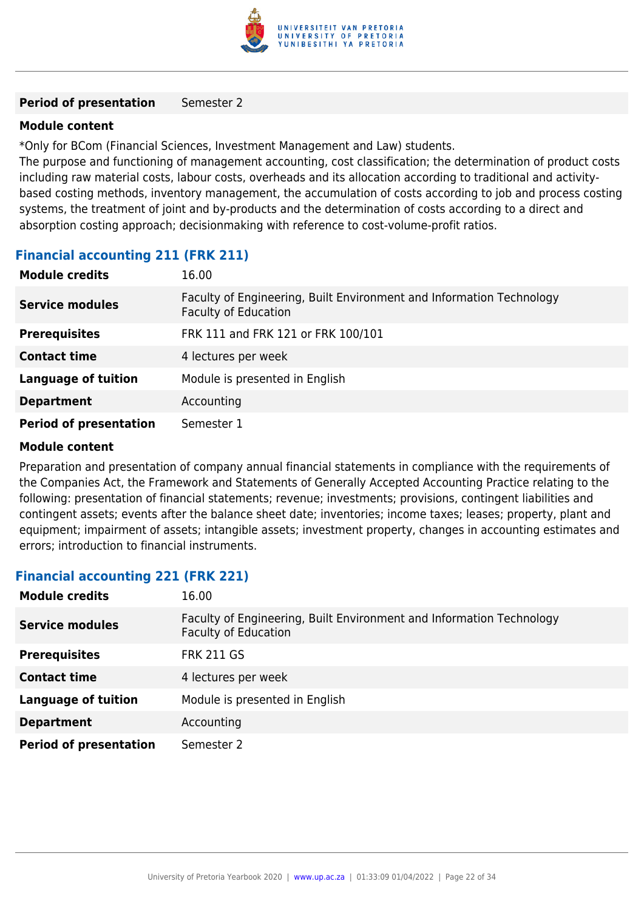

#### **Period of presentation** Semester 2

#### **Module content**

\*Only for BCom (Financial Sciences, Investment Management and Law) students.

The purpose and functioning of management accounting, cost classification; the determination of product costs including raw material costs, labour costs, overheads and its allocation according to traditional and activitybased costing methods, inventory management, the accumulation of costs according to job and process costing systems, the treatment of joint and by-products and the determination of costs according to a direct and absorption costing approach; decisionmaking with reference to cost-volume-profit ratios.

## **Financial accounting 211 (FRK 211)**

| <b>Module credits</b>         | 16.00                                                                                               |
|-------------------------------|-----------------------------------------------------------------------------------------------------|
| <b>Service modules</b>        | Faculty of Engineering, Built Environment and Information Technology<br><b>Faculty of Education</b> |
| <b>Prerequisites</b>          | FRK 111 and FRK 121 or FRK 100/101                                                                  |
| <b>Contact time</b>           | 4 lectures per week                                                                                 |
| <b>Language of tuition</b>    | Module is presented in English                                                                      |
| <b>Department</b>             | Accounting                                                                                          |
| <b>Period of presentation</b> | Semester 1                                                                                          |

#### **Module content**

Preparation and presentation of company annual financial statements in compliance with the requirements of the Companies Act, the Framework and Statements of Generally Accepted Accounting Practice relating to the following: presentation of financial statements; revenue; investments; provisions, contingent liabilities and contingent assets; events after the balance sheet date; inventories; income taxes; leases; property, plant and equipment; impairment of assets; intangible assets; investment property, changes in accounting estimates and errors; introduction to financial instruments.

#### **Financial accounting 221 (FRK 221)**

| <b>Module credits</b>         | 16.00                                                                                               |
|-------------------------------|-----------------------------------------------------------------------------------------------------|
| <b>Service modules</b>        | Faculty of Engineering, Built Environment and Information Technology<br><b>Faculty of Education</b> |
| <b>Prerequisites</b>          | <b>FRK 211 GS</b>                                                                                   |
| <b>Contact time</b>           | 4 lectures per week                                                                                 |
| <b>Language of tuition</b>    | Module is presented in English                                                                      |
| <b>Department</b>             | Accounting                                                                                          |
| <b>Period of presentation</b> | Semester 2                                                                                          |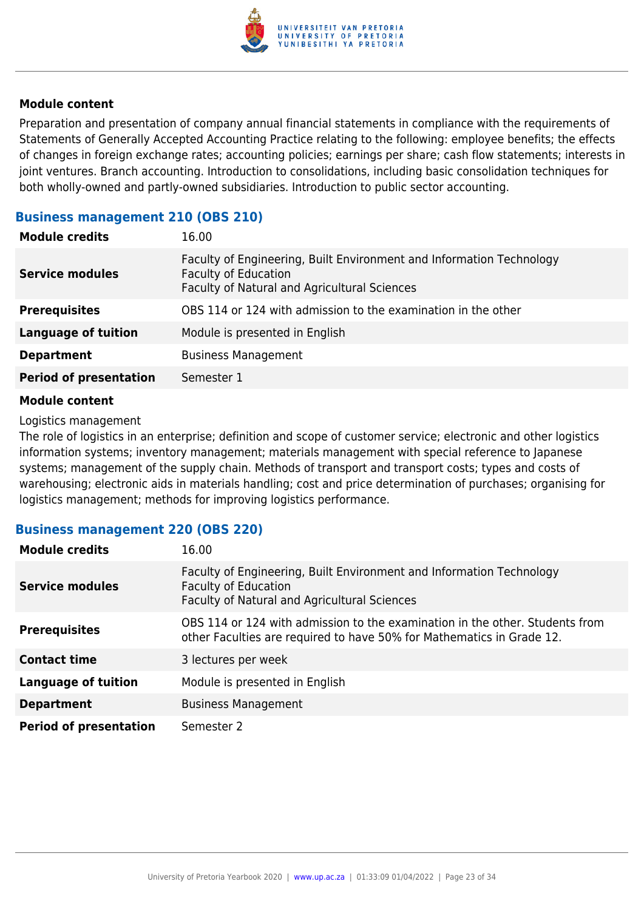

Preparation and presentation of company annual financial statements in compliance with the requirements of Statements of Generally Accepted Accounting Practice relating to the following: employee benefits; the effects of changes in foreign exchange rates; accounting policies; earnings per share; cash flow statements; interests in joint ventures. Branch accounting. Introduction to consolidations, including basic consolidation techniques for both wholly-owned and partly-owned subsidiaries. Introduction to public sector accounting.

## **Business management 210 (OBS 210)**

| <b>Module credits</b>         | 16.00                                                                                                                                               |
|-------------------------------|-----------------------------------------------------------------------------------------------------------------------------------------------------|
| <b>Service modules</b>        | Faculty of Engineering, Built Environment and Information Technology<br><b>Faculty of Education</b><br>Faculty of Natural and Agricultural Sciences |
| <b>Prerequisites</b>          | OBS 114 or 124 with admission to the examination in the other                                                                                       |
| <b>Language of tuition</b>    | Module is presented in English                                                                                                                      |
| <b>Department</b>             | <b>Business Management</b>                                                                                                                          |
| <b>Period of presentation</b> | Semester 1                                                                                                                                          |
|                               |                                                                                                                                                     |

#### **Module content**

Logistics management

The role of logistics in an enterprise; definition and scope of customer service; electronic and other logistics information systems; inventory management; materials management with special reference to Japanese systems; management of the supply chain. Methods of transport and transport costs; types and costs of warehousing; electronic aids in materials handling; cost and price determination of purchases; organising for logistics management; methods for improving logistics performance.

#### **Business management 220 (OBS 220)**

| <b>Module credits</b>         | 16.00                                                                                                                                                 |
|-------------------------------|-------------------------------------------------------------------------------------------------------------------------------------------------------|
| <b>Service modules</b>        | Faculty of Engineering, Built Environment and Information Technology<br><b>Faculty of Education</b><br>Faculty of Natural and Agricultural Sciences   |
| <b>Prerequisites</b>          | OBS 114 or 124 with admission to the examination in the other. Students from<br>other Faculties are required to have 50% for Mathematics in Grade 12. |
| <b>Contact time</b>           | 3 lectures per week                                                                                                                                   |
| <b>Language of tuition</b>    | Module is presented in English                                                                                                                        |
| <b>Department</b>             | <b>Business Management</b>                                                                                                                            |
| <b>Period of presentation</b> | Semester 2                                                                                                                                            |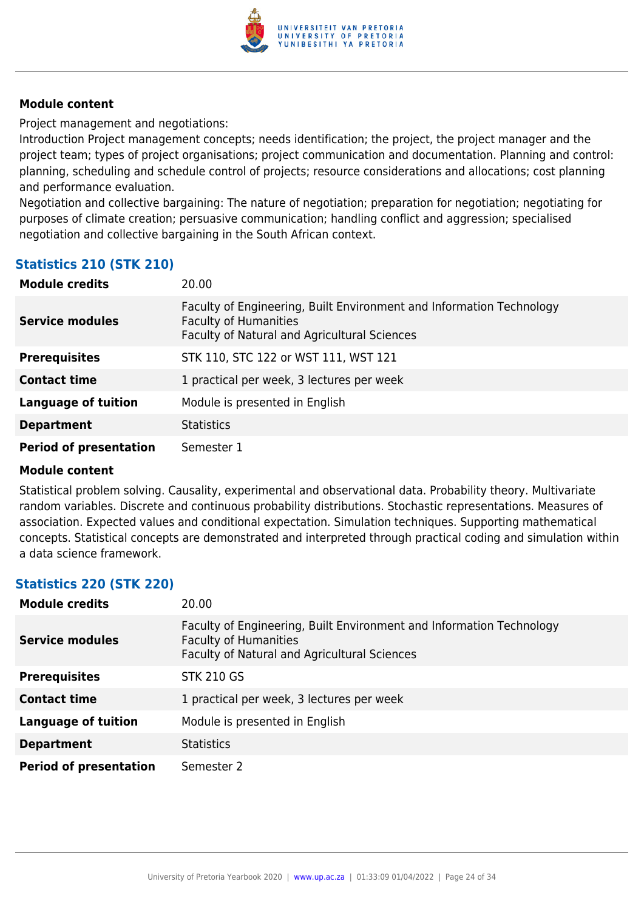

Project management and negotiations:

Introduction Project management concepts; needs identification; the project, the project manager and the project team; types of project organisations; project communication and documentation. Planning and control: planning, scheduling and schedule control of projects; resource considerations and allocations; cost planning and performance evaluation.

Negotiation and collective bargaining: The nature of negotiation; preparation for negotiation; negotiating for purposes of climate creation; persuasive communication; handling conflict and aggression; specialised negotiation and collective bargaining in the South African context.

## **Statistics 210 (STK 210)**

| <b>Module credits</b>         | 20.00                                                                                                                                                       |
|-------------------------------|-------------------------------------------------------------------------------------------------------------------------------------------------------------|
| <b>Service modules</b>        | Faculty of Engineering, Built Environment and Information Technology<br><b>Faculty of Humanities</b><br><b>Faculty of Natural and Agricultural Sciences</b> |
| <b>Prerequisites</b>          | STK 110, STC 122 or WST 111, WST 121                                                                                                                        |
| <b>Contact time</b>           | 1 practical per week, 3 lectures per week                                                                                                                   |
| <b>Language of tuition</b>    | Module is presented in English                                                                                                                              |
| <b>Department</b>             | <b>Statistics</b>                                                                                                                                           |
| <b>Period of presentation</b> | Semester 1                                                                                                                                                  |

#### **Module content**

Statistical problem solving. Causality, experimental and observational data. Probability theory. Multivariate random variables. Discrete and continuous probability distributions. Stochastic representations. Measures of association. Expected values and conditional expectation. Simulation techniques. Supporting mathematical concepts. Statistical concepts are demonstrated and interpreted through practical coding and simulation within a data science framework.

## **Statistics 220 (STK 220)**

| <b>Module credits</b>         | 20.00                                                                                                                                                |
|-------------------------------|------------------------------------------------------------------------------------------------------------------------------------------------------|
| <b>Service modules</b>        | Faculty of Engineering, Built Environment and Information Technology<br><b>Faculty of Humanities</b><br>Faculty of Natural and Agricultural Sciences |
| <b>Prerequisites</b>          | <b>STK 210 GS</b>                                                                                                                                    |
| <b>Contact time</b>           | 1 practical per week, 3 lectures per week                                                                                                            |
| <b>Language of tuition</b>    | Module is presented in English                                                                                                                       |
| <b>Department</b>             | <b>Statistics</b>                                                                                                                                    |
| <b>Period of presentation</b> | Semester 2                                                                                                                                           |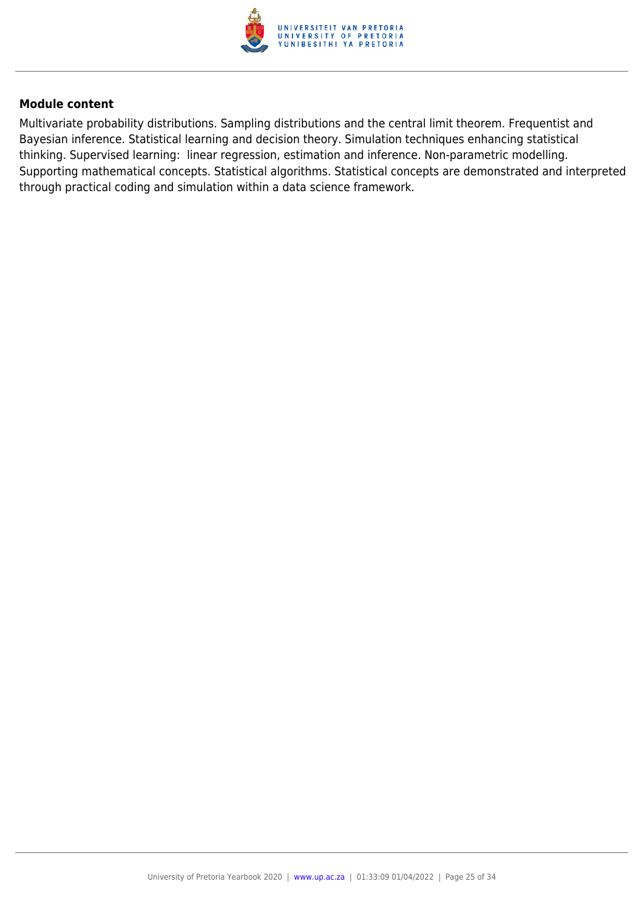

Multivariate probability distributions. Sampling distributions and the central limit theorem. Frequentist and Bayesian inference. Statistical learning and decision theory. Simulation techniques enhancing statistical thinking. Supervised learning: linear regression, estimation and inference. Non-parametric modelling. Supporting mathematical concepts. Statistical algorithms. Statistical concepts are demonstrated and interpreted through practical coding and simulation within a data science framework.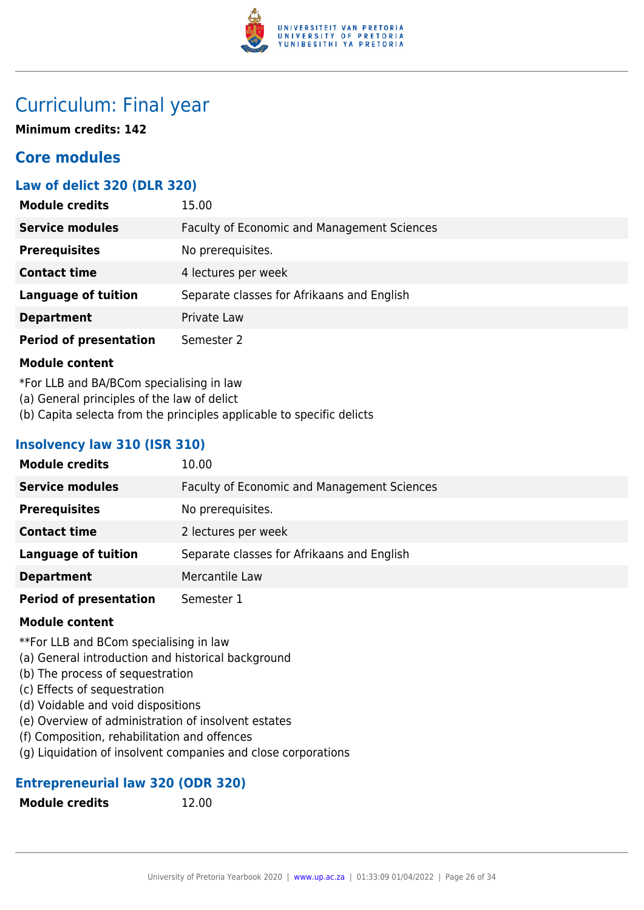

## Curriculum: Final year

**Minimum credits: 142**

## **Core modules**

## **Law of delict 320 (DLR 320)**

| <b>Module credits</b>         | 15.00                                              |
|-------------------------------|----------------------------------------------------|
| <b>Service modules</b>        | <b>Faculty of Economic and Management Sciences</b> |
| <b>Prerequisites</b>          | No prerequisites.                                  |
| <b>Contact time</b>           | 4 lectures per week                                |
| <b>Language of tuition</b>    | Separate classes for Afrikaans and English         |
| <b>Department</b>             | Private Law                                        |
| <b>Period of presentation</b> | Semester 2                                         |

## **Module content**

\*For LLB and BA/BCom specialising in law

- (a) General principles of the law of delict
- (b) Capita selecta from the principles applicable to specific delicts

## **Insolvency law 310 (ISR 310)**

| <b>Module credits</b>         | 10.00                                       |
|-------------------------------|---------------------------------------------|
| <b>Service modules</b>        | Faculty of Economic and Management Sciences |
| <b>Prerequisites</b>          | No prerequisites.                           |
| <b>Contact time</b>           | 2 lectures per week                         |
| <b>Language of tuition</b>    | Separate classes for Afrikaans and English  |
| <b>Department</b>             | Mercantile Law                              |
| <b>Period of presentation</b> | Semester 1                                  |

#### **Module content**

\*\*For LLB and BCom specialising in law

- (a) General introduction and historical background
- (b) The process of sequestration
- (c) Effects of sequestration
- (d) Voidable and void dispositions
- (e) Overview of administration of insolvent estates
- (f) Composition, rehabilitation and offences
- (g) Liquidation of insolvent companies and close corporations

## **Entrepreneurial law 320 (ODR 320)**

**Module credits** 12.00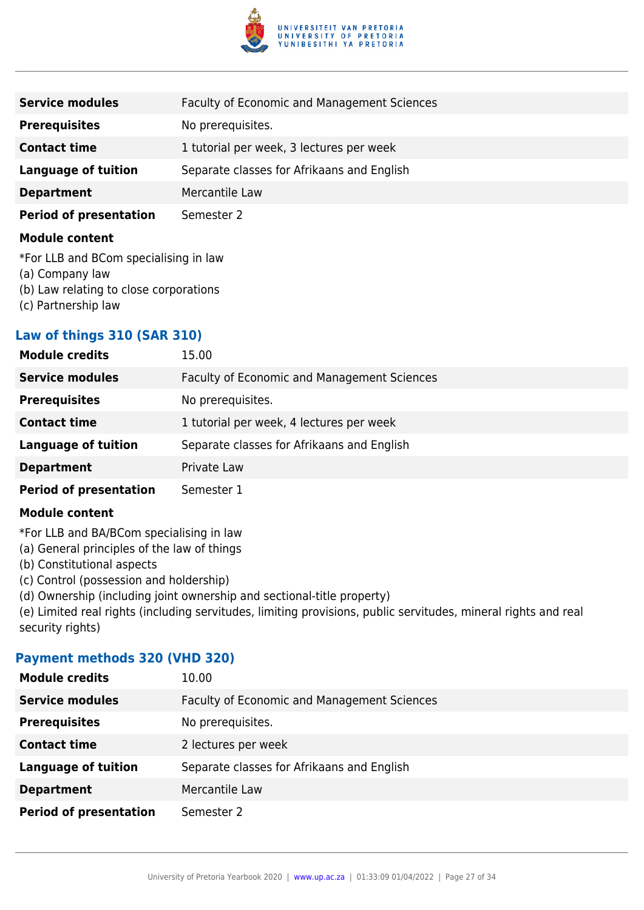

| <b>Service modules</b>                                   | <b>Faculty of Economic and Management Sciences</b> |
|----------------------------------------------------------|----------------------------------------------------|
| <b>Prerequisites</b>                                     | No prerequisites.                                  |
| <b>Contact time</b>                                      | 1 tutorial per week, 3 lectures per week           |
| <b>Language of tuition</b>                               | Separate classes for Afrikaans and English         |
| <b>Department</b>                                        | Mercantile Law                                     |
| <b>Period of presentation</b>                            | Semester 2                                         |
| <b>Module content</b>                                    |                                                    |
| *For LLB and BCom specialising in law<br>(a) Company law |                                                    |

- (b) Law relating to close corporations
- (c) Partnership law

## **Law of things 310 (SAR 310)**

| <b>Module credits</b>         | 15.00                                       |
|-------------------------------|---------------------------------------------|
| <b>Service modules</b>        | Faculty of Economic and Management Sciences |
| <b>Prerequisites</b>          | No prerequisites.                           |
| <b>Contact time</b>           | 1 tutorial per week, 4 lectures per week    |
| <b>Language of tuition</b>    | Separate classes for Afrikaans and English  |
| <b>Department</b>             | Private Law                                 |
| <b>Period of presentation</b> | Semester 1                                  |

#### **Module content**

\*For LLB and BA/BCom specialising in law

(a) General principles of the law of things

- (b) Constitutional aspects
- (c) Control (possession and holdership)

(d) Ownership (including joint ownership and sectional-title property)

(e) Limited real rights (including servitudes, limiting provisions, public servitudes, mineral rights and real security rights)

#### **Payment methods 320 (VHD 320)**

| <b>Module credits</b>         | 10.00                                       |
|-------------------------------|---------------------------------------------|
| <b>Service modules</b>        | Faculty of Economic and Management Sciences |
| <b>Prerequisites</b>          | No prerequisites.                           |
| <b>Contact time</b>           | 2 lectures per week                         |
| <b>Language of tuition</b>    | Separate classes for Afrikaans and English  |
| <b>Department</b>             | Mercantile Law                              |
| <b>Period of presentation</b> | Semester 2                                  |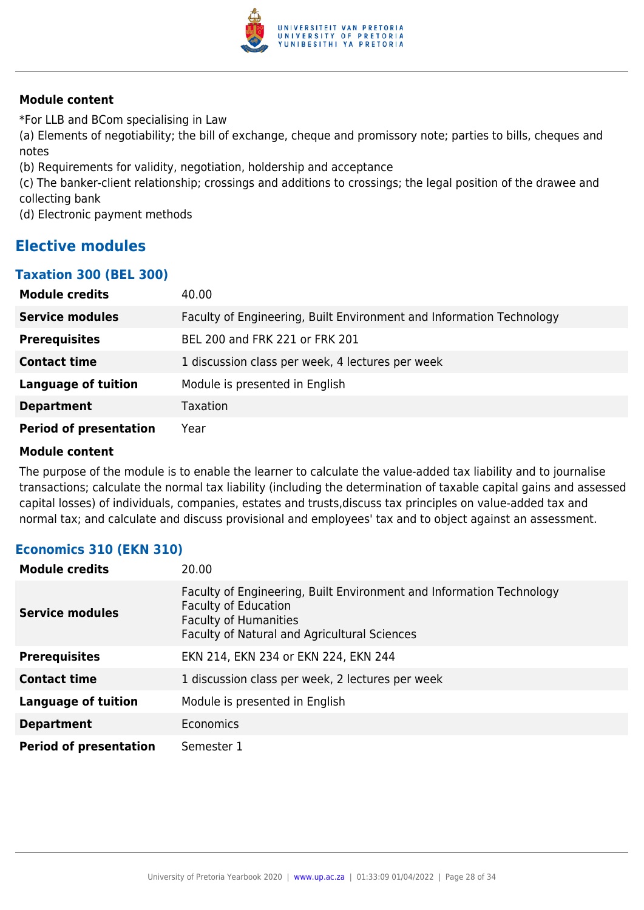

\*For LLB and BCom specialising in Law

(a) Elements of negotiability; the bill of exchange, cheque and promissory note; parties to bills, cheques and notes

(b) Requirements for validity, negotiation, holdership and acceptance

(c) The banker-client relationship; crossings and additions to crossings; the legal position of the drawee and collecting bank

(d) Electronic payment methods

## **Elective modules**

## **Taxation 300 (BEL 300)**

| <b>Module credits</b>         | 40.00                                                                |
|-------------------------------|----------------------------------------------------------------------|
| <b>Service modules</b>        | Faculty of Engineering, Built Environment and Information Technology |
| <b>Prerequisites</b>          | BEL 200 and FRK 221 or FRK 201                                       |
| <b>Contact time</b>           | 1 discussion class per week, 4 lectures per week                     |
| <b>Language of tuition</b>    | Module is presented in English                                       |
| <b>Department</b>             | Taxation                                                             |
| <b>Period of presentation</b> | Year                                                                 |

#### **Module content**

The purpose of the module is to enable the learner to calculate the value-added tax liability and to journalise transactions; calculate the normal tax liability (including the determination of taxable capital gains and assessed capital losses) of individuals, companies, estates and trusts,discuss tax principles on value-added tax and normal tax; and calculate and discuss provisional and employees' tax and to object against an assessment.

## **Economics 310 (EKN 310)**

| <b>Module credits</b>         | 20.00                                                                                                                                                                               |
|-------------------------------|-------------------------------------------------------------------------------------------------------------------------------------------------------------------------------------|
| Service modules               | Faculty of Engineering, Built Environment and Information Technology<br><b>Faculty of Education</b><br><b>Faculty of Humanities</b><br>Faculty of Natural and Agricultural Sciences |
| <b>Prerequisites</b>          | EKN 214, EKN 234 or EKN 224, EKN 244                                                                                                                                                |
| <b>Contact time</b>           | 1 discussion class per week, 2 lectures per week                                                                                                                                    |
| <b>Language of tuition</b>    | Module is presented in English                                                                                                                                                      |
| <b>Department</b>             | Economics                                                                                                                                                                           |
| <b>Period of presentation</b> | Semester 1                                                                                                                                                                          |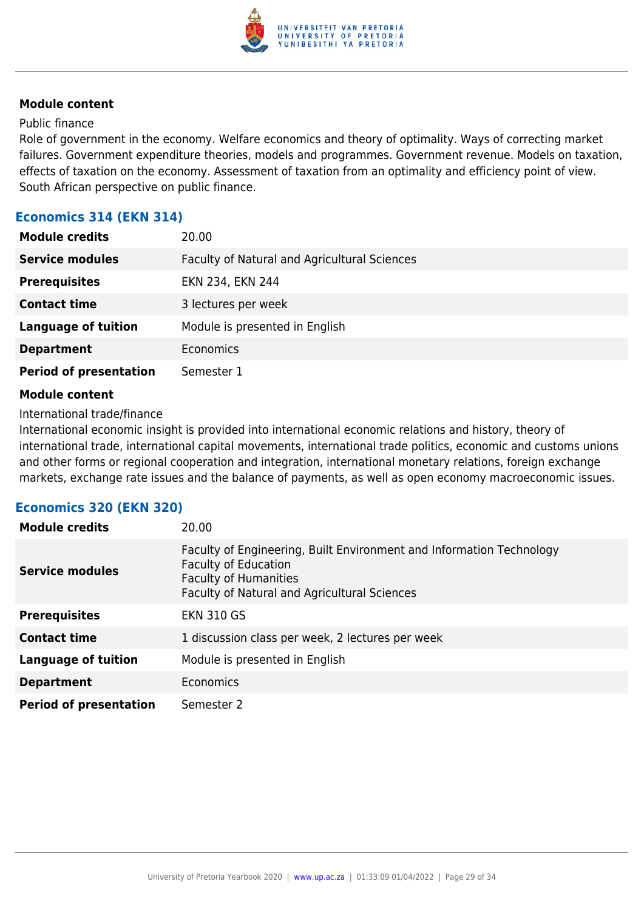

#### Public finance

Role of government in the economy. Welfare economics and theory of optimality. Ways of correcting market failures. Government expenditure theories, models and programmes. Government revenue. Models on taxation, effects of taxation on the economy. Assessment of taxation from an optimality and efficiency point of view. South African perspective on public finance.

## **Economics 314 (EKN 314)**

| <b>Module credits</b>         | 20.00                                        |
|-------------------------------|----------------------------------------------|
| <b>Service modules</b>        | Faculty of Natural and Agricultural Sciences |
| <b>Prerequisites</b>          | EKN 234, EKN 244                             |
| <b>Contact time</b>           | 3 lectures per week                          |
| <b>Language of tuition</b>    | Module is presented in English               |
| <b>Department</b>             | <b>Economics</b>                             |
| <b>Period of presentation</b> | Semester 1                                   |

#### **Module content**

#### International trade/finance

International economic insight is provided into international economic relations and history, theory of international trade, international capital movements, international trade politics, economic and customs unions and other forms or regional cooperation and integration, international monetary relations, foreign exchange markets, exchange rate issues and the balance of payments, as well as open economy macroeconomic issues.

#### **Economics 320 (EKN 320)**

| <b>Module credits</b>         | 20.00                                                                                                                                                                               |
|-------------------------------|-------------------------------------------------------------------------------------------------------------------------------------------------------------------------------------|
| <b>Service modules</b>        | Faculty of Engineering, Built Environment and Information Technology<br><b>Faculty of Education</b><br><b>Faculty of Humanities</b><br>Faculty of Natural and Agricultural Sciences |
| <b>Prerequisites</b>          | <b>EKN 310 GS</b>                                                                                                                                                                   |
| <b>Contact time</b>           | 1 discussion class per week, 2 lectures per week                                                                                                                                    |
| <b>Language of tuition</b>    | Module is presented in English                                                                                                                                                      |
| <b>Department</b>             | Economics                                                                                                                                                                           |
| <b>Period of presentation</b> | Semester 2                                                                                                                                                                          |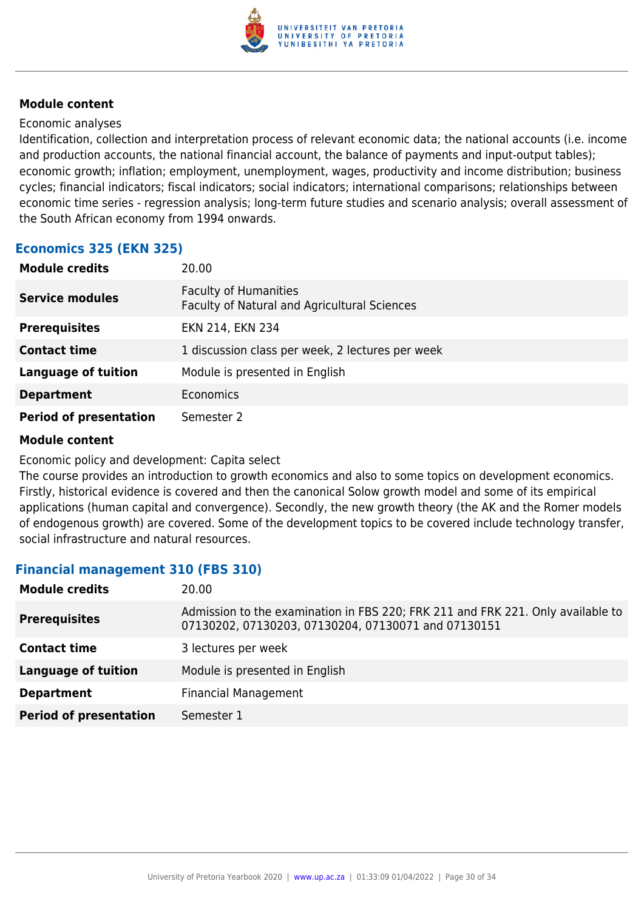

#### Economic analyses

Identification, collection and interpretation process of relevant economic data; the national accounts (i.e. income and production accounts, the national financial account, the balance of payments and input-output tables); economic growth; inflation; employment, unemployment, wages, productivity and income distribution; business cycles; financial indicators; fiscal indicators; social indicators; international comparisons; relationships between economic time series - regression analysis; long-term future studies and scenario analysis; overall assessment of the South African economy from 1994 onwards.

## **Economics 325 (EKN 325)**

| <b>Module credits</b>         | 20.00                                                                        |
|-------------------------------|------------------------------------------------------------------------------|
| <b>Service modules</b>        | <b>Faculty of Humanities</b><br>Faculty of Natural and Agricultural Sciences |
| <b>Prerequisites</b>          | EKN 214, EKN 234                                                             |
| <b>Contact time</b>           | 1 discussion class per week, 2 lectures per week                             |
| <b>Language of tuition</b>    | Module is presented in English                                               |
| <b>Department</b>             | <b>Economics</b>                                                             |
| <b>Period of presentation</b> | Semester 2                                                                   |

#### **Module content**

Economic policy and development: Capita select

The course provides an introduction to growth economics and also to some topics on development economics. Firstly, historical evidence is covered and then the canonical Solow growth model and some of its empirical applications (human capital and convergence). Secondly, the new growth theory (the AK and the Romer models of endogenous growth) are covered. Some of the development topics to be covered include technology transfer, social infrastructure and natural resources.

#### **Financial management 310 (FBS 310)**

| <b>Module credits</b>         | 20.00                                                                                                                                  |
|-------------------------------|----------------------------------------------------------------------------------------------------------------------------------------|
| <b>Prerequisites</b>          | Admission to the examination in FBS 220; FRK 211 and FRK 221. Only available to<br>07130202, 07130203, 07130204, 07130071 and 07130151 |
| <b>Contact time</b>           | 3 lectures per week                                                                                                                    |
| <b>Language of tuition</b>    | Module is presented in English                                                                                                         |
| <b>Department</b>             | <b>Financial Management</b>                                                                                                            |
| <b>Period of presentation</b> | Semester 1                                                                                                                             |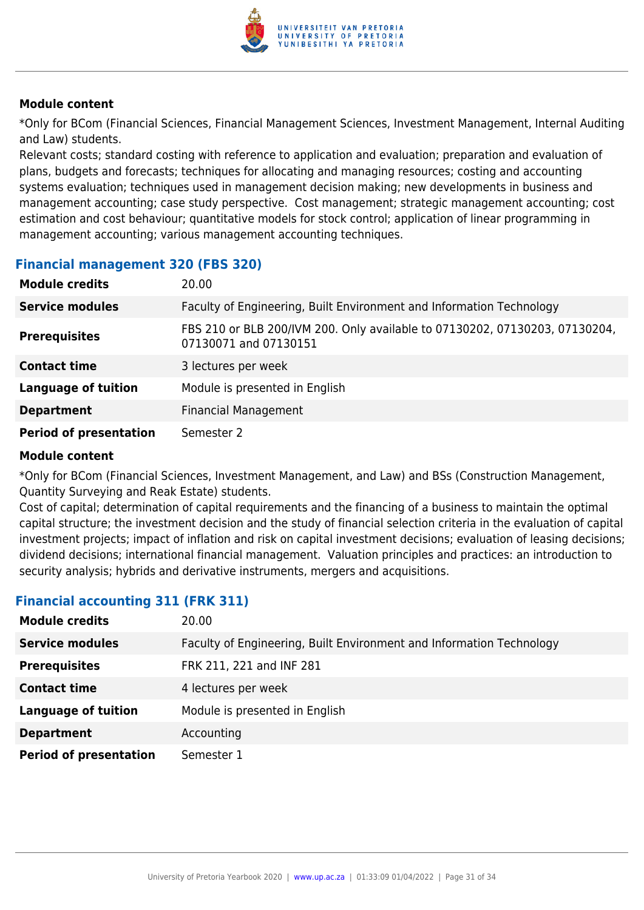

\*Only for BCom (Financial Sciences, Financial Management Sciences, Investment Management, Internal Auditing and Law) students.

Relevant costs; standard costing with reference to application and evaluation; preparation and evaluation of plans, budgets and forecasts; techniques for allocating and managing resources; costing and accounting systems evaluation; techniques used in management decision making; new developments in business and management accounting; case study perspective. Cost management; strategic management accounting; cost estimation and cost behaviour; quantitative models for stock control; application of linear programming in management accounting; various management accounting techniques.

## **Financial management 320 (FBS 320)**

| <b>Module credits</b>         | 20.00                                                                                                |
|-------------------------------|------------------------------------------------------------------------------------------------------|
| <b>Service modules</b>        | Faculty of Engineering, Built Environment and Information Technology                                 |
| <b>Prerequisites</b>          | FBS 210 or BLB 200/IVM 200. Only available to 07130202, 07130203, 07130204,<br>07130071 and 07130151 |
| <b>Contact time</b>           | 3 lectures per week                                                                                  |
| <b>Language of tuition</b>    | Module is presented in English                                                                       |
| <b>Department</b>             | <b>Financial Management</b>                                                                          |
| <b>Period of presentation</b> | Semester 2                                                                                           |

#### **Module content**

\*Only for BCom (Financial Sciences, Investment Management, and Law) and BSs (Construction Management, Quantity Surveying and Reak Estate) students.

Cost of capital; determination of capital requirements and the financing of a business to maintain the optimal capital structure; the investment decision and the study of financial selection criteria in the evaluation of capital investment projects; impact of inflation and risk on capital investment decisions; evaluation of leasing decisions; dividend decisions; international financial management. Valuation principles and practices: an introduction to security analysis; hybrids and derivative instruments, mergers and acquisitions.

## **Module credits** 20.00 **Service modules** Faculty of Engineering, Built Environment and Information Technology **Prerequisites** FRK 211, 221 and INF 281 **Contact time** 4 lectures per week **Language of tuition** Module is presented in English **Department** Accounting **Period of presentation** Semester 1

## **Financial accounting 311 (FRK 311)**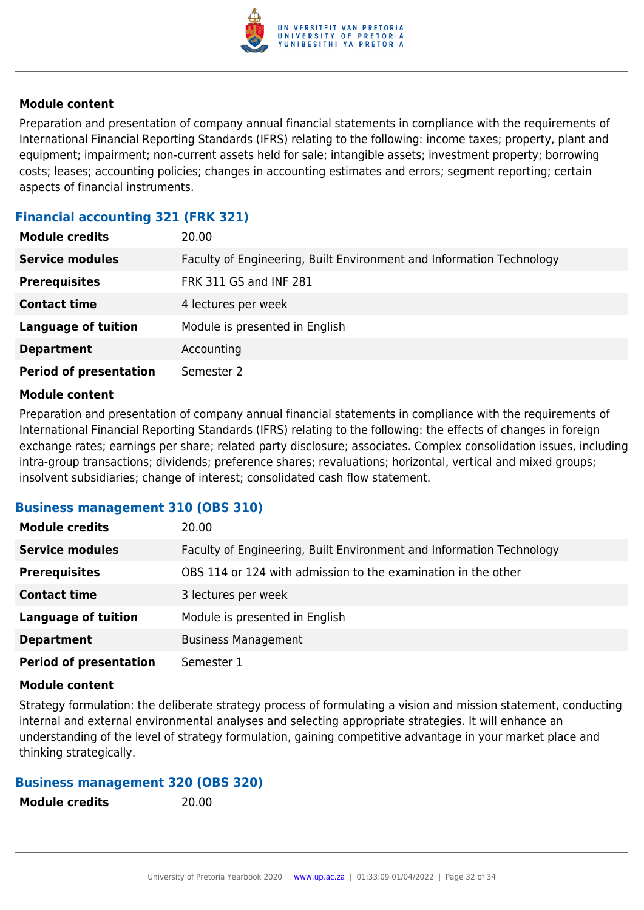

Preparation and presentation of company annual financial statements in compliance with the requirements of International Financial Reporting Standards (IFRS) relating to the following: income taxes; property, plant and equipment; impairment; non-current assets held for sale; intangible assets; investment property; borrowing costs; leases; accounting policies; changes in accounting estimates and errors; segment reporting; certain aspects of financial instruments.

## **Financial accounting 321 (FRK 321)**

| <b>Module credits</b>         | 20.00                                                                |
|-------------------------------|----------------------------------------------------------------------|
| <b>Service modules</b>        | Faculty of Engineering, Built Environment and Information Technology |
| <b>Prerequisites</b>          | <b>FRK 311 GS and INF 281</b>                                        |
| <b>Contact time</b>           | 4 lectures per week                                                  |
| <b>Language of tuition</b>    | Module is presented in English                                       |
| <b>Department</b>             | Accounting                                                           |
| <b>Period of presentation</b> | Semester 2                                                           |

#### **Module content**

Preparation and presentation of company annual financial statements in compliance with the requirements of International Financial Reporting Standards (IFRS) relating to the following: the effects of changes in foreign exchange rates; earnings per share; related party disclosure; associates. Complex consolidation issues, including intra-group transactions; dividends; preference shares; revaluations; horizontal, vertical and mixed groups; insolvent subsidiaries; change of interest; consolidated cash flow statement.

#### **Business management 310 (OBS 310)**

| <b>Module credits</b>         | 20.00                                                                |
|-------------------------------|----------------------------------------------------------------------|
| <b>Service modules</b>        | Faculty of Engineering, Built Environment and Information Technology |
| <b>Prerequisites</b>          | OBS 114 or 124 with admission to the examination in the other        |
| <b>Contact time</b>           | 3 lectures per week                                                  |
| <b>Language of tuition</b>    | Module is presented in English                                       |
| <b>Department</b>             | <b>Business Management</b>                                           |
| <b>Period of presentation</b> | Semester 1                                                           |

#### **Module content**

Strategy formulation: the deliberate strategy process of formulating a vision and mission statement, conducting internal and external environmental analyses and selecting appropriate strategies. It will enhance an understanding of the level of strategy formulation, gaining competitive advantage in your market place and thinking strategically.

#### **Business management 320 (OBS 320)**

**Module credits** 20.00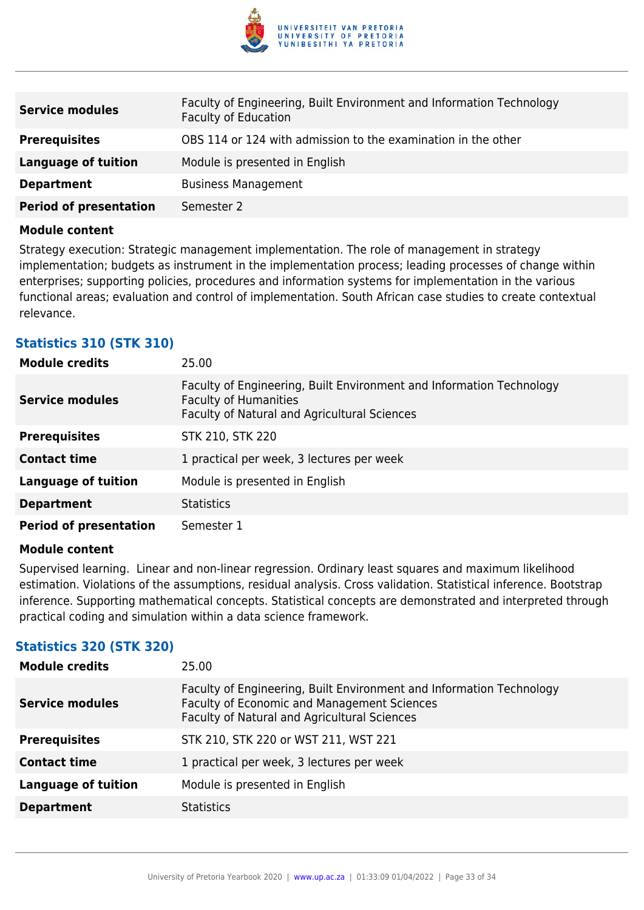

| <b>Service modules</b>        | Faculty of Engineering, Built Environment and Information Technology<br><b>Faculty of Education</b> |
|-------------------------------|-----------------------------------------------------------------------------------------------------|
| <b>Prerequisites</b>          | OBS 114 or 124 with admission to the examination in the other                                       |
| Language of tuition           | Module is presented in English                                                                      |
| <b>Department</b>             | <b>Business Management</b>                                                                          |
| <b>Period of presentation</b> | Semester 2                                                                                          |

Strategy execution: Strategic management implementation. The role of management in strategy implementation; budgets as instrument in the implementation process; leading processes of change within enterprises; supporting policies, procedures and information systems for implementation in the various functional areas; evaluation and control of implementation. South African case studies to create contextual relevance.

## **Statistics 310 (STK 310)**

| <b>Module credits</b>         | 25.00                                                                                                                                                |
|-------------------------------|------------------------------------------------------------------------------------------------------------------------------------------------------|
| <b>Service modules</b>        | Faculty of Engineering, Built Environment and Information Technology<br><b>Faculty of Humanities</b><br>Faculty of Natural and Agricultural Sciences |
| <b>Prerequisites</b>          | <b>STK 210, STK 220</b>                                                                                                                              |
| <b>Contact time</b>           | 1 practical per week, 3 lectures per week                                                                                                            |
| <b>Language of tuition</b>    | Module is presented in English                                                                                                                       |
| <b>Department</b>             | <b>Statistics</b>                                                                                                                                    |
| <b>Period of presentation</b> | Semester 1                                                                                                                                           |

#### **Module content**

Supervised learning. Linear and non-linear regression. Ordinary least squares and maximum likelihood estimation. Violations of the assumptions, residual analysis. Cross validation. Statistical inference. Bootstrap inference. Supporting mathematical concepts. Statistical concepts are demonstrated and interpreted through practical coding and simulation within a data science framework.

## **Statistics 320 (STK 320)**

| <b>Module credits</b>      | 25.00                                                                                                                                                               |
|----------------------------|---------------------------------------------------------------------------------------------------------------------------------------------------------------------|
| <b>Service modules</b>     | Faculty of Engineering, Built Environment and Information Technology<br>Faculty of Economic and Management Sciences<br>Faculty of Natural and Agricultural Sciences |
| <b>Prerequisites</b>       | STK 210, STK 220 or WST 211, WST 221                                                                                                                                |
| <b>Contact time</b>        | 1 practical per week, 3 lectures per week                                                                                                                           |
| <b>Language of tuition</b> | Module is presented in English                                                                                                                                      |
| <b>Department</b>          | <b>Statistics</b>                                                                                                                                                   |